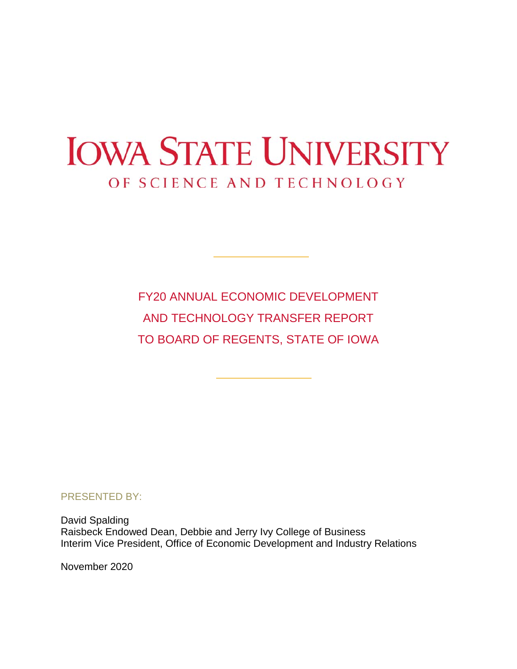# **IOWA STATE UNIVERSITY** OF SCIENCE AND TECHNOLOGY

FY20 ANNUAL ECONOMIC DEVELOPMENT AND TECHNOLOGY TRANSFER REPORT TO BOARD OF REGENTS, STATE OF IOWA

PRESENTED BY:

David Spalding Raisbeck Endowed Dean, Debbie and Jerry Ivy College of Business Interim Vice President, Office of Economic Development and Industry Relations

November 2020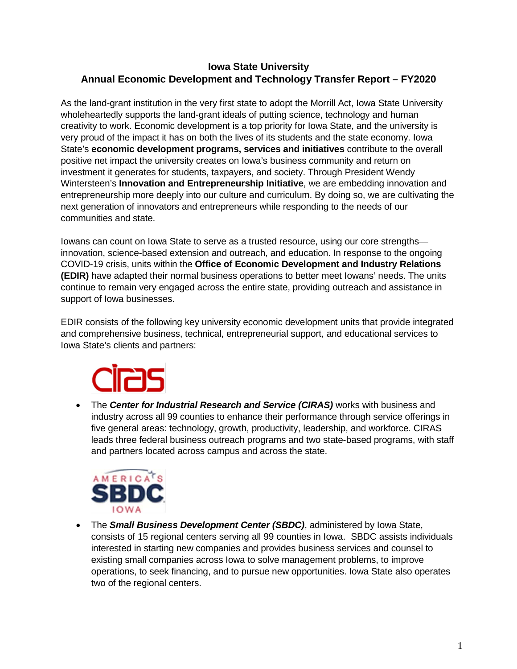### **Iowa State University Annual Economic Development and Technology Transfer Report – FY2020**

As the land-grant institution in the very first state to adopt the Morrill Act, Iowa State University wholeheartedly supports the land-grant ideals of putting science, technology and human creativity to work. Economic development is a top priority for Iowa State, and the university is very proud of the impact it has on both the lives of its students and the state economy. Iowa State's **economic development programs, services and initiatives** contribute to the overall positive net impact the university creates on Iowa's business community and return on investment it generates for students, taxpayers, and society. Through President Wendy Wintersteen's **Innovation and Entrepreneurship Initiative**, we are embedding innovation and entrepreneurship more deeply into our culture and curriculum. By doing so, we are cultivating the next generation of innovators and entrepreneurs while responding to the needs of our communities and state.

Iowans can count on Iowa State to serve as a trusted resource, using our core strengths innovation, science-based extension and outreach, and education. In response to the ongoing COVID-19 crisis, units within the **Office of Economic Development and Industry Relations (EDIR)** have adapted their normal business operations to better meet Iowans' needs. The units continue to remain very engaged across the entire state, providing outreach and assistance in support of Iowa businesses.

EDIR consists of the following key university economic development units that provide integrated and comprehensive business, technical, entrepreneurial support, and educational services to Iowa State's clients and partners:



• The *Center for Industrial Research and Service (CIRAS)* works with business and industry across all 99 counties to enhance their performance through service offerings in five general areas: technology, growth, productivity, leadership, and workforce. CIRAS leads three federal business outreach programs and two state-based programs, with staff and partners located across campus and across the state.



• The *Small Business Development Center (SBDC)*, administered by Iowa State, consists of 15 regional centers serving all 99 counties in Iowa. SBDC assists individuals interested in starting new companies and provides business services and counsel to existing small companies across Iowa to solve management problems, to improve operations, to seek financing, and to pursue new opportunities. Iowa State also operates two of the regional centers.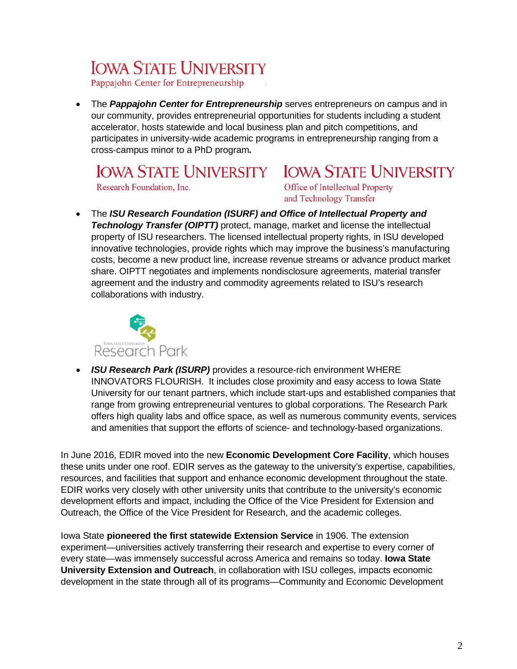## **IOWA STATE UNIVERSITY**

Pappajohn Center for Entrepreneurship

• The **Pappajohn Center for Entrepreneurship** serves entrepreneurs on campus and in our community, provides entrepreneurial opportunities for students including a student accelerator, hosts statewide and local business plan and pitch competitions, and participates in university-wide academic programs in entrepreneurship ranging from a cross-campus minor to a PhD program*.*

### **IOWA STATE UNIVERSITY IOWA STATE UNIVERSITY**

Research Foundation, Inc.

Office of Intellectual Property and Technology Transfer

• The *ISU Research Foundation (ISURF) and Office of Intellectual Property and Technology Transfer (OIPTT)* protect, manage, market and license the intellectual property of ISU researchers. The licensed intellectual property rights, in ISU developed innovative technologies, provide rights which may improve the business's manufacturing costs, become a new product line, increase revenue streams or advance product market share. OIPTT negotiates and implements nondisclosure agreements, material transfer agreement and the industry and commodity agreements related to ISU's research collaborations with industry.



• *ISU Research Park (ISURP)* provides a resource-rich environment WHERE INNOVATORS FLOURISH. It includes close proximity and easy access to Iowa State University for our tenant partners, which include start-ups and established companies that range from growing entrepreneurial ventures to global corporations. The Research Park offers high quality labs and office space, as well as numerous community events, services and amenities that support the efforts of science- and technology-based organizations.

In June 2016, EDIR moved into the new **Economic Development Core Facility**, which houses these units under one roof. EDIR serves as the gateway to the university's expertise, capabilities, resources, and facilities that support and enhance economic development throughout the state. EDIR works very closely with other university units that contribute to the university's economic development efforts and impact, including the Office of the Vice President for Extension and Outreach, the Office of the Vice President for Research, and the academic colleges.

Iowa State **pioneered the first statewide Extension Service** in 1906. The extension experiment—universities actively transferring their research and expertise to every corner of every state—was immensely successful across America and remains so today. **Iowa State University Extension and Outreach**, in collaboration with ISU colleges, impacts economic development in the state through all of its programs—Community and Economic Development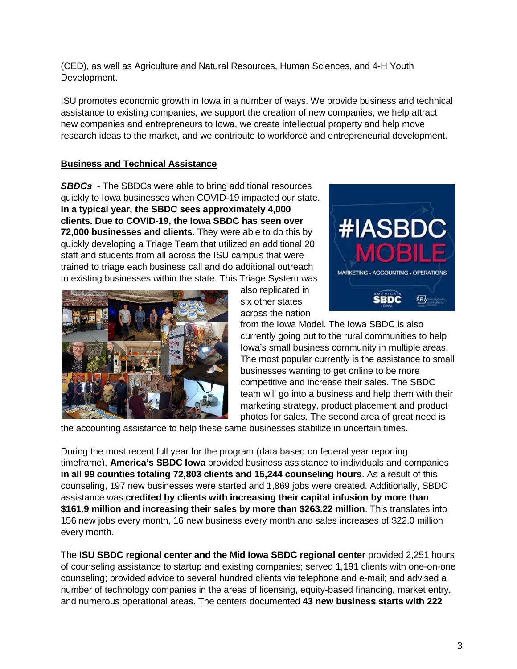(CED), as well as Agriculture and Natural Resources, Human Sciences, and 4-H Youth Development.

ISU promotes economic growth in Iowa in a number of ways. We provide business and technical assistance to existing companies, we support the creation of new companies, we help attract new companies and entrepreneurs to Iowa, we create intellectual property and help move research ideas to the market, and we contribute to workforce and entrepreneurial development.

#### **Business and Technical Assistance**

*SBDCs* - The SBDCs were able to bring additional resources quickly to Iowa businesses when COVID-19 impacted our state. **In a typical year, the SBDC sees approximately 4,000 clients. Due to COVID-19, the Iowa SBDC has seen over 72,000 businesses and clients.** They were able to do this by quickly developing a Triage Team that utilized an additional 20 staff and students from all across the ISU campus that were trained to triage each business call and do additional outreach to existing businesses within the state. This Triage System was



also replicated in six other states across the nation



from the Iowa Model. The Iowa SBDC is also currently going out to the rural communities to help Iowa's small business community in multiple areas. The most popular currently is the assistance to small businesses wanting to get online to be more competitive and increase their sales. The SBDC team will go into a business and help them with their marketing strategy, product placement and product photos for sales. The second area of great need is

the accounting assistance to help these same businesses stabilize in uncertain times.

During the most recent full year for the program (data based on federal year reporting timeframe), **America's SBDC Iowa** provided business assistance to individuals and companies **in all 99 counties totaling 72,803 clients and 15,244 counseling hours**. As a result of this counseling, 197 new businesses were started and 1,869 jobs were created. Additionally, SBDC assistance was **credited by clients with increasing their capital infusion by more than \$161.9 million and increasing their sales by more than \$263.22 million**. This translates into 156 new jobs every month, 16 new business every month and sales increases of \$22.0 million every month.

The **ISU SBDC regional center and the Mid Iowa SBDC regional center** provided 2,251 hours of counseling assistance to startup and existing companies; served 1,191 clients with one-on-one counseling; provided advice to several hundred clients via telephone and e-mail; and advised a number of technology companies in the areas of licensing, equity-based financing, market entry, and numerous operational areas. The centers documented **43 new business starts with 222**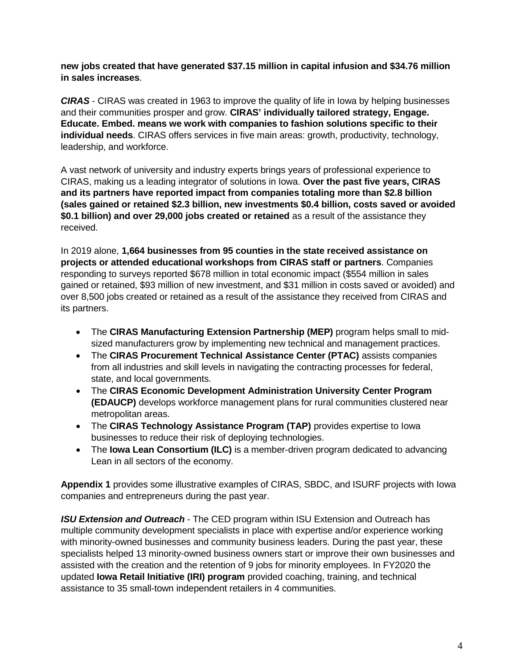**new jobs created that have generated \$37.15 million in capital infusion and \$34.76 million in sales increases**.

*CIRAS* - CIRAS was created in 1963 to improve the quality of life in Iowa by helping businesses and their communities prosper and grow. **CIRAS' individually tailored strategy, Engage. Educate. Embed. means we work with companies to fashion solutions specific to their individual needs**. CIRAS offers services in five main areas: growth, productivity, technology, leadership, and workforce.

A vast network of university and industry experts brings years of professional experience to CIRAS, making us a leading integrator of solutions in Iowa. **Over the past five years, CIRAS and its partners have reported impact from companies totaling more than \$2.8 billion (sales gained or retained \$2.3 billion, new investments \$0.4 billion, costs saved or avoided \$0.1 billion) and over 29,000 jobs created or retained** as a result of the assistance they received.

In 2019 alone, **1,664 businesses from 95 counties in the state received assistance on projects or attended educational workshops from CIRAS staff or partners**. Companies responding to surveys reported \$678 million in total economic impact (\$554 million in sales gained or retained, \$93 million of new investment, and \$31 million in costs saved or avoided) and over 8,500 jobs created or retained as a result of the assistance they received from CIRAS and its partners.

- The **CIRAS Manufacturing Extension Partnership (MEP)** program helps small to midsized manufacturers grow by implementing new technical and management practices.
- The **CIRAS Procurement Technical Assistance Center (PTAC)** assists companies from all industries and skill levels in navigating the contracting processes for federal, state, and local governments.
- The **CIRAS Economic Development Administration University Center Program (EDAUCP)** develops workforce management plans for rural communities clustered near metropolitan areas.
- The **CIRAS Technology Assistance Program (TAP)** provides expertise to Iowa businesses to reduce their risk of deploying technologies.
- The **Iowa Lean Consortium (ILC)** is a member-driven program dedicated to advancing Lean in all sectors of the economy.

**Appendix 1** provides some illustrative examples of CIRAS, SBDC, and ISURF projects with Iowa companies and entrepreneurs during the past year.

*ISU Extension and Outreach* - The CED program within ISU Extension and Outreach has multiple community development specialists in place with expertise and/or experience working with minority-owned businesses and community business leaders. During the past year, these specialists helped 13 minority-owned business owners start or improve their own businesses and assisted with the creation and the retention of 9 jobs for minority employees. In FY2020 the updated **Iowa Retail Initiative (IRI) program** provided coaching, training, and technical assistance to 35 small-town independent retailers in 4 communities.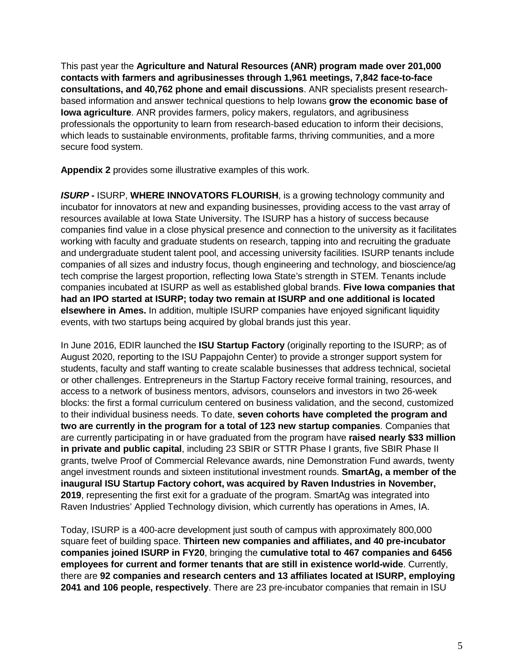This past year the **Agriculture and Natural Resources (ANR) program made over 201,000 contacts with farmers and agribusinesses through 1,961 meetings, 7,842 face-to-face consultations, and 40,762 phone and email discussions**. ANR specialists present researchbased information and answer technical questions to help Iowans **grow the economic base of Iowa agriculture**. ANR provides farmers, policy makers, regulators, and agribusiness professionals the opportunity to learn from research-based education to inform their decisions, which leads to sustainable environments, profitable farms, thriving communities, and a more secure food system.

**Appendix 2** provides some illustrative examples of this work.

*ISURP* **- ISURP, WHERE INNOVATORS FLOURISH**, is a growing technology community and incubator for innovators at new and expanding businesses, providing access to the vast array of resources available at Iowa State University. The ISURP has a history of success because companies find value in a close physical presence and connection to the university as it facilitates working with faculty and graduate students on research, tapping into and recruiting the graduate and undergraduate student talent pool, and accessing university facilities. ISURP tenants include companies of all sizes and industry focus, though engineering and technology, and bioscience/ag tech comprise the largest proportion, reflecting Iowa State's strength in STEM. Tenants include companies incubated at ISURP as well as established global brands. **Five Iowa companies that had an IPO started at ISURP; today two remain at ISURP and one additional is located elsewhere in Ames.** In addition, multiple ISURP companies have enjoyed significant liquidity events, with two startups being acquired by global brands just this year.

In June 2016, EDIR launched the **ISU Startup Factory** (originally reporting to the ISURP; as of August 2020, reporting to the ISU Pappajohn Center) to provide a stronger support system for students, faculty and staff wanting to create scalable businesses that address technical, societal or other challenges. Entrepreneurs in the Startup Factory receive formal training, resources, and access to a network of business mentors, advisors, counselors and investors in two 26-week blocks: the first a formal curriculum centered on business validation, and the second, customized to their individual business needs. To date, **seven cohorts have completed the program and two are currently in the program for a total of 123 new startup companies**. Companies that are currently participating in or have graduated from the program have **raised nearly \$33 million in private and public capital**, including 23 SBIR or STTR Phase I grants, five SBIR Phase II grants, twelve Proof of Commercial Relevance awards, nine Demonstration Fund awards, twenty angel investment rounds and sixteen institutional investment rounds. **SmartAg, a member of the inaugural ISU Startup Factory cohort, was acquired by Raven Industries in November, 2019**, representing the first exit for a graduate of the program. SmartAg was integrated into Raven Industries' Applied Technology division, which currently has operations in Ames, IA.

Today, ISURP is a 400-acre development just south of campus with approximately 800,000 square feet of building space. **Thirteen new companies and affiliates, and 40 pre-incubator companies joined ISURP in FY20**, bringing the **cumulative total to 467 companies and 6456 employees for current and former tenants that are still in existence world-wide**. Currently, there are **92 companies and research centers and 13 affiliates located at ISURP, employing 2041 and 106 people, respectively**. There are 23 pre-incubator companies that remain in ISU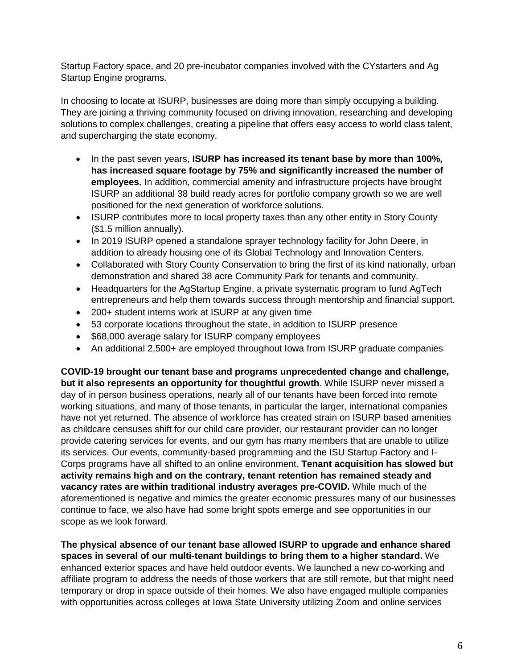Startup Factory space, and 20 pre-incubator companies involved with the CYstarters and Ag Startup Engine programs.

In choosing to locate at ISURP, businesses are doing more than simply occupying a building. They are joining a thriving community focused on driving innovation, researching and developing solutions to complex challenges, creating a pipeline that offers easy access to world class talent, and supercharging the state economy.

- In the past seven years, **ISURP has increased its tenant base by more than 100%, has increased square footage by 75% and significantly increased the number of employees.** In addition, commercial amenity and infrastructure projects have brought ISURP an additional 38 build ready acres for portfolio company growth so we are well positioned for the next generation of workforce solutions.
- ISURP contributes more to local property taxes than any other entity in Story County (\$1.5 million annually).
- In 2019 ISURP opened a standalone sprayer technology facility for John Deere, in addition to already housing one of its Global Technology and Innovation Centers.
- Collaborated with Story County Conservation to bring the first of its kind nationally, urban demonstration and shared 38 acre Community Park for tenants and community.
- Headquarters for the AgStartup Engine, a private systematic program to fund AgTech entrepreneurs and help them towards success through mentorship and financial support.
- 200+ student interns work at ISURP at any given time
- 53 corporate locations throughout the state, in addition to ISURP presence
- \$68,000 average salary for ISURP company employees
- An additional 2,500+ are employed throughout Iowa from ISURP graduate companies

**COVID-19 brought our tenant base and programs unprecedented change and challenge, but it also represents an opportunity for thoughtful growth**. While ISURP never missed a day of in person business operations, nearly all of our tenants have been forced into remote working situations, and many of those tenants, in particular the larger, international companies have not yet returned. The absence of workforce has created strain on ISURP based amenities as childcare censuses shift for our child care provider, our restaurant provider can no longer provide catering services for events, and our gym has many members that are unable to utilize its services. Our events, community-based programming and the ISU Startup Factory and I-Corps programs have all shifted to an online environment. **Tenant acquisition has slowed but activity remains high and on the contrary, tenant retention has remained steady and vacancy rates are within traditional industry averages pre-COVID.** While much of the aforementioned is negative and mimics the greater economic pressures many of our businesses continue to face, we also have had some bright spots emerge and see opportunities in our scope as we look forward.

**The physical absence of our tenant base allowed ISURP to upgrade and enhance shared spaces in several of our multi-tenant buildings to bring them to a higher standard.** We enhanced exterior spaces and have held outdoor events. We launched a new co-working and affiliate program to address the needs of those workers that are still remote, but that might need temporary or drop in space outside of their homes. We also have engaged multiple companies with opportunities across colleges at Iowa State University utilizing Zoom and online services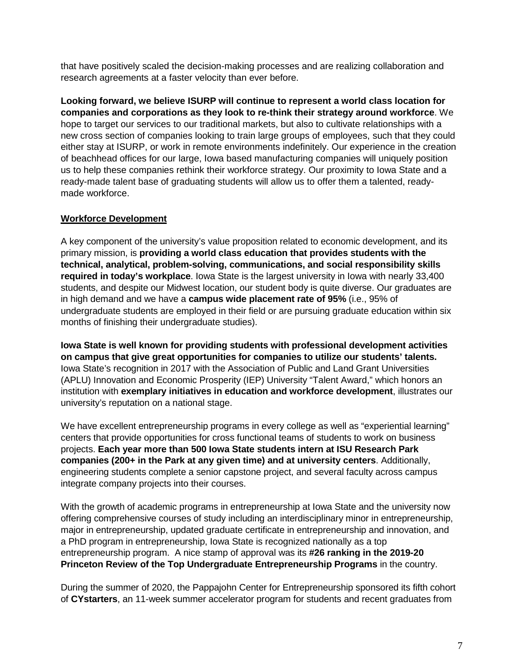that have positively scaled the decision-making processes and are realizing collaboration and research agreements at a faster velocity than ever before.

**Looking forward, we believe ISURP will continue to represent a world class location for companies and corporations as they look to re-think their strategy around workforce**. We hope to target our services to our traditional markets, but also to cultivate relationships with a new cross section of companies looking to train large groups of employees, such that they could either stay at ISURP, or work in remote environments indefinitely. Our experience in the creation of beachhead offices for our large, Iowa based manufacturing companies will uniquely position us to help these companies rethink their workforce strategy. Our proximity to Iowa State and a ready-made talent base of graduating students will allow us to offer them a talented, readymade workforce.

#### **Workforce Development**

A key component of the university's value proposition related to economic development, and its primary mission, is **providing a world class education that provides students with the technical, analytical, problem-solving, communications, and social responsibility skills required in today's workplace**. Iowa State is the largest university in Iowa with nearly 33,400 students, and despite our Midwest location, our student body is quite diverse. Our graduates are in high demand and we have a **campus wide placement rate of 95%** (i.e., 95% of undergraduate students are employed in their field or are pursuing graduate education within six months of finishing their undergraduate studies).

**Iowa State is well known for providing students with professional development activities on campus that give great opportunities for companies to utilize our students' talents.** Iowa State's recognition in 2017 with the Association of Public and Land Grant Universities (APLU) Innovation and Economic Prosperity (IEP) University "Talent Award," which honors an institution with **exemplary initiatives in education and workforce development**, illustrates our university's reputation on a national stage.

We have excellent entrepreneurship programs in every college as well as "experiential learning" centers that provide opportunities for cross functional teams of students to work on business projects. **Each year more than 500 Iowa State students intern at ISU Research Park companies (200+ in the Park at any given time) and at university centers**. Additionally, engineering students complete a senior capstone project, and several faculty across campus integrate company projects into their courses.

With the growth of academic programs in entrepreneurship at Iowa State and the university now offering comprehensive courses of study including an interdisciplinary minor in entrepreneurship, major in entrepreneurship, updated graduate certificate in entrepreneurship and innovation, and a PhD program in entrepreneurship, Iowa State is recognized nationally as a top entrepreneurship program. A nice stamp of approval was its **#26 ranking in the 2019-20 Princeton Review of the Top Undergraduate Entrepreneurship Programs** in the country.

During the summer of 2020, the Pappajohn Center for Entrepreneurship sponsored its fifth cohort of **CYstarters**, an 11-week summer accelerator program for students and recent graduates from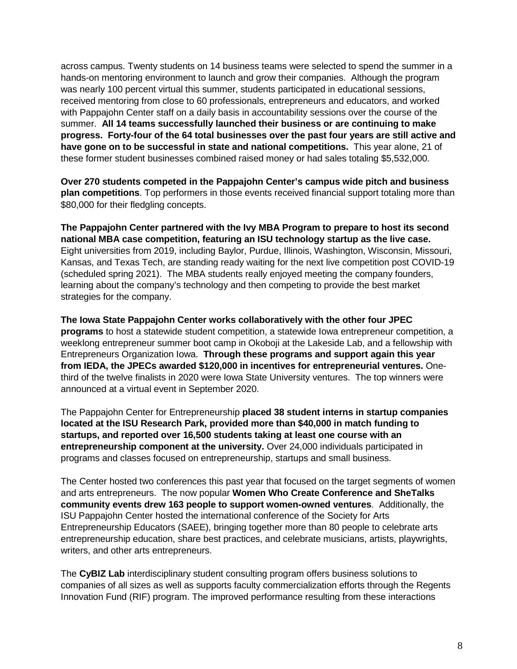across campus. Twenty students on 14 business teams were selected to spend the summer in a hands-on mentoring environment to launch and grow their companies. Although the program was nearly 100 percent virtual this summer, students participated in educational sessions, received mentoring from close to 60 professionals, entrepreneurs and educators, and worked with Pappajohn Center staff on a daily basis in accountability sessions over the course of the summer. **All 14 teams successfully launched their business or are continuing to make progress. Forty-four of the 64 total businesses over the past four years are still active and have gone on to be successful in state and national competitions.** This year alone, 21 of these former student businesses combined raised money or had sales totaling \$5,532,000.

**Over 270 students competed in the Pappajohn Center's campus wide pitch and business plan competitions**. Top performers in those events received financial support totaling more than \$80,000 for their fledgling concepts.

**The Pappajohn Center partnered with the Ivy MBA Program to prepare to host its second national MBA case competition, featuring an ISU technology startup as the live case.** Eight universities from 2019, including Baylor, Purdue, Illinois, Washington, Wisconsin, Missouri, Kansas, and Texas Tech, are standing ready waiting for the next live competition post COVID-19 (scheduled spring 2021). The MBA students really enjoyed meeting the company founders, learning about the company's technology and then competing to provide the best market strategies for the company.

**The Iowa State Pappajohn Center works collaboratively with the other four JPEC programs** to host a statewide student competition, a statewide Iowa entrepreneur competition, a weeklong entrepreneur summer boot camp in Okoboji at the Lakeside Lab, and a fellowship with Entrepreneurs Organization Iowa. **Through these programs and support again this year from IEDA, the JPECs awarded \$120,000 in incentives for entrepreneurial ventures.** Onethird of the twelve finalists in 2020 were Iowa State University ventures. The top winners were announced at a virtual event in September 2020.

The Pappajohn Center for Entrepreneurship **placed 38 student interns in startup companies located at the ISU Research Park, provided more than \$40,000 in match funding to startups, and reported over 16,500 students taking at least one course with an entrepreneurship component at the university.** Over 24,000 individuals participated in programs and classes focused on entrepreneurship, startups and small business.

The Center hosted two conferences this past year that focused on the target segments of women and arts entrepreneurs. The now popular **Women Who Create Conference and SheTalks community events drew 163 people to support women-owned ventures**. Additionally, the ISU Pappajohn Center hosted the international conference of the Society for Arts Entrepreneurship Educators (SAEE), bringing together more than 80 people to celebrate arts entrepreneurship education, share best practices, and celebrate musicians, artists, playwrights, writers, and other arts entrepreneurs.

The **CyBIZ Lab** interdisciplinary student consulting program offers business solutions to companies of all sizes as well as supports faculty commercialization efforts through the Regents Innovation Fund (RIF) program. The improved performance resulting from these interactions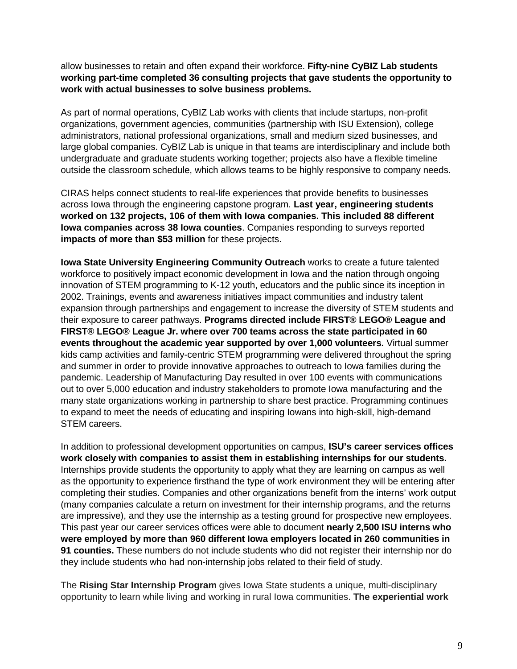allow businesses to retain and often expand their workforce. **Fifty-nine CyBIZ Lab students working part-time completed 36 consulting projects that gave students the opportunity to work with actual businesses to solve business problems.**

As part of normal operations, CyBIZ Lab works with clients that include startups, non-profit organizations, government agencies, communities (partnership with ISU Extension), college administrators, national professional organizations, small and medium sized businesses, and large global companies. CyBIZ Lab is unique in that teams are interdisciplinary and include both undergraduate and graduate students working together; projects also have a flexible timeline outside the classroom schedule, which allows teams to be highly responsive to company needs.

CIRAS helps connect students to real-life experiences that provide benefits to businesses across Iowa through the engineering capstone program. **Last year, engineering students worked on 132 projects, 106 of them with Iowa companies. This included 88 different Iowa companies across 38 Iowa counties**. Companies responding to surveys reported **impacts of more than \$53 million** for these projects.

**Iowa State University Engineering Community Outreach** works to create a future talented workforce to positively impact economic development in Iowa and the nation through ongoing innovation of STEM programming to K-12 youth, educators and the public since its inception in 2002. Trainings, events and awareness initiatives impact communities and industry talent expansion through partnerships and engagement to increase the diversity of STEM students and their exposure to career pathways. **Programs directed include FIRST® LEGO® League and FIRST® LEGO® League Jr. where over 700 teams across the state participated in 60 events throughout the academic year supported by over 1,000 volunteers.** Virtual summer kids camp activities and family-centric STEM programming were delivered throughout the spring and summer in order to provide innovative approaches to outreach to Iowa families during the pandemic. Leadership of Manufacturing Day resulted in over 100 events with communications out to over 5,000 education and industry stakeholders to promote Iowa manufacturing and the many state organizations working in partnership to share best practice. Programming continues to expand to meet the needs of educating and inspiring Iowans into high-skill, high-demand STEM careers.

In addition to professional development opportunities on campus, **ISU's career services offices work closely with companies to assist them in establishing internships for our students.**  Internships provide students the opportunity to apply what they are learning on campus as well as the opportunity to experience firsthand the type of work environment they will be entering after completing their studies. Companies and other organizations benefit from the interns' work output (many companies calculate a return on investment for their internship programs, and the returns are impressive), and they use the internship as a testing ground for prospective new employees. This past year our career services offices were able to document **nearly 2,500 ISU interns who were employed by more than 960 different Iowa employers located in 260 communities in 91 counties.** These numbers do not include students who did not register their internship nor do they include students who had non-internship jobs related to their field of study.

The **Rising Star Internship Program** gives Iowa State students a unique, multi-disciplinary opportunity to learn while living and working in rural Iowa communities. **The experiential work**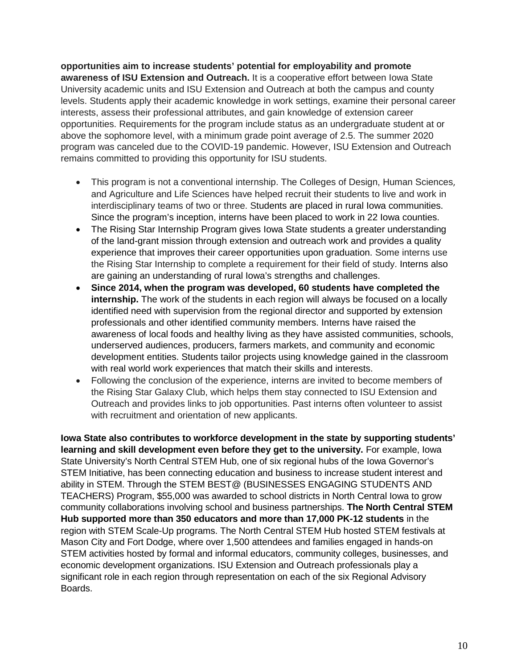**opportunities aim to increase students' potential for employability and promote awareness of ISU Extension and Outreach.** It is a cooperative effort between Iowa State University academic units and ISU Extension and Outreach at both the campus and county levels. Students apply their academic knowledge in work settings, examine their personal career interests, assess their professional attributes, and gain knowledge of extension career opportunities. Requirements for the program include status as an undergraduate student at or above the sophomore level, with a minimum grade point average of 2.5. The summer 2020 program was canceled due to the COVID-19 pandemic. However, ISU Extension and Outreach remains committed to providing this opportunity for ISU students.

- This program is not a conventional internship. The Colleges of Design, Human Sciences, and Agriculture and Life Sciences have helped recruit their students to live and work in interdisciplinary teams of two or three. Students are placed in rural Iowa communities. Since the program's inception, interns have been placed to work in 22 Iowa counties.
- The Rising Star Internship Program gives Iowa State students a greater understanding of the land-grant mission through extension and outreach work and provides a quality experience that improves their career opportunities upon graduation. Some interns use the Rising Star Internship to complete a requirement for their field of study. Interns also are gaining an understanding of rural Iowa's strengths and challenges.
- **Since 2014, when the program was developed, 60 students have completed the internship.** The work of the students in each region will always be focused on a locally identified need with supervision from the regional director and supported by extension professionals and other identified community members. Interns have raised the awareness of local foods and healthy living as they have assisted communities, schools, underserved audiences, producers, farmers markets, and community and economic development entities. Students tailor projects using knowledge gained in the classroom with real world work experiences that match their skills and interests.
- Following the conclusion of the experience, interns are invited to become members of the Rising Star Galaxy Club, which helps them stay connected to ISU Extension and Outreach and provides links to job opportunities. Past interns often volunteer to assist with recruitment and orientation of new applicants.

**Iowa State also contributes to workforce development in the state by supporting students' learning and skill development even before they get to the university.** For example, Iowa State University's North Central STEM Hub, one of six regional hubs of the Iowa Governor's STEM Initiative, has been connecting education and business to increase student interest and ability in STEM. Through the STEM BEST@ (BUSINESSES ENGAGING STUDENTS AND TEACHERS) Program, \$55,000 was awarded to school districts in North Central Iowa to grow community collaborations involving school and business partnerships. **The North Central STEM Hub supported more than 350 educators and more than 17,000 PK-12 students** in the region with STEM Scale-Up programs. The North Central STEM Hub hosted STEM festivals at Mason City and Fort Dodge, where over 1,500 attendees and families engaged in hands-on STEM activities hosted by formal and informal educators, community colleges, businesses, and economic development organizations. ISU Extension and Outreach professionals play a significant role in each region through representation on each of the six Regional Advisory Boards.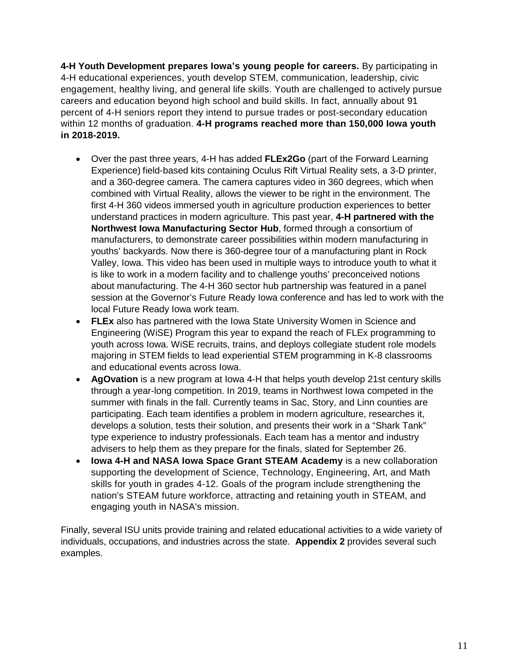**4-H Youth Development prepares Iowa's young people for careers.** By participating in 4-H educational experiences, youth develop STEM, communication, leadership, civic engagement, healthy living, and general life skills. Youth are challenged to actively pursue careers and education beyond high school and build skills. In fact, annually about 91 percent of 4-H seniors report they intend to pursue trades or post-secondary education within 12 months of graduation. **4-H programs reached more than 150,000 Iowa youth in 2018-2019.**

- Over the past three years, 4-H has added **FLEx2Go** (part of the Forward Learning Experience) field-based kits containing Oculus Rift Virtual Reality sets, a 3-D printer, and a 360-degree camera. The camera captures video in 360 degrees, which when combined with Virtual Reality, allows the viewer to be right in the environment. The first 4-H 360 videos immersed youth in agriculture production experiences to better understand practices in modern agriculture. This past year, **4-H partnered with the Northwest Iowa Manufacturing Sector Hub**, formed through a consortium of manufacturers, to demonstrate career possibilities within modern manufacturing in youths' backyards. Now there is 360-degree tour of a manufacturing plant in Rock Valley, Iowa. This video has been used in multiple ways to introduce youth to what it is like to work in a modern facility and to challenge youths' preconceived notions about manufacturing. The 4-H 360 sector hub partnership was featured in a panel session at the Governor's Future Ready Iowa conference and has led to work with the local Future Ready Iowa work team.
- **FLEx** also has partnered with the Iowa State University Women in Science and Engineering (WiSE) Program this year to expand the reach of FLEx programming to youth across Iowa. WiSE recruits, trains, and deploys collegiate student role models majoring in STEM fields to lead experiential STEM programming in K-8 classrooms and educational events across Iowa.
- **AgOvation** is a new program at Iowa 4-H that helps youth develop 21st century skills through a year-long competition. In 2019, teams in Northwest Iowa competed in the summer with finals in the fall. Currently teams in Sac, Story, and Linn counties are participating. Each team identifies a problem in modern agriculture, researches it, develops a solution, tests their solution, and presents their work in a "Shark Tank" type experience to industry professionals. Each team has a mentor and industry advisers to help them as they prepare for the finals, slated for September 26.
- **Iowa 4-H and NASA Iowa Space Grant STEAM Academy** is a new collaboration supporting the development of Science, Technology, Engineering, Art, and Math skills for youth in grades 4-12. Goals of the program include strengthening the nation's STEAM future workforce, attracting and retaining youth in STEAM, and engaging youth in NASA's mission.

Finally, several ISU units provide training and related educational activities to a wide variety of individuals, occupations, and industries across the state. **Appendix 2** provides several such examples.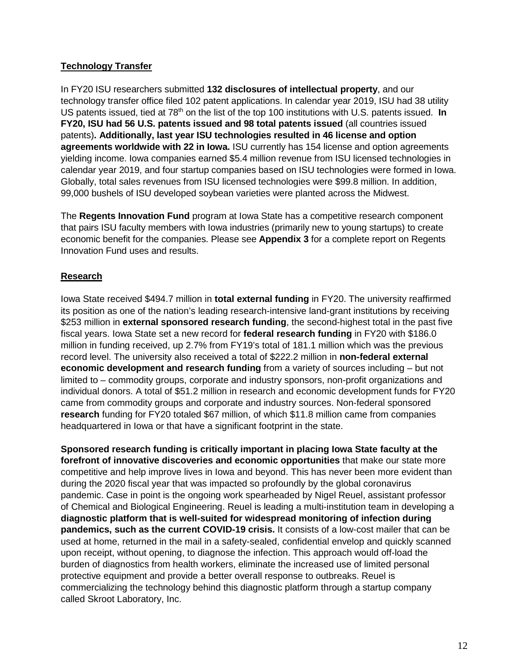#### **Technology Transfer**

In FY20 ISU researchers submitted **132 disclosures of intellectual property**, and our technology transfer office filed 102 patent applications. In calendar year 2019, ISU had 38 utility US patents issued, tied at 78<sup>th</sup> on the list of the top 100 institutions with U.S. patents issued. In **FY20, ISU had 56 U.S. patents issued and 98 total patents issued** (all countries issued patents)**. Additionally, last year ISU technologies resulted in 46 license and option agreements worldwide with 22 in Iowa.** ISU currently has 154 license and option agreements yielding income. Iowa companies earned \$5.4 million revenue from ISU licensed technologies in calendar year 2019, and four startup companies based on ISU technologies were formed in Iowa. Globally, total sales revenues from ISU licensed technologies were \$99.8 million. In addition, 99,000 bushels of ISU developed soybean varieties were planted across the Midwest.

The **Regents Innovation Fund** program at Iowa State has a competitive research component that pairs ISU faculty members with Iowa industries (primarily new to young startups) to create economic benefit for the companies. Please see **Appendix 3** for a complete report on Regents Innovation Fund uses and results.

#### **Research**

Iowa State received \$494.7 million in **total external funding** in FY20. The university reaffirmed its position as one of the nation's leading research-intensive land-grant institutions by receiving \$253 million in **external sponsored research funding**, the second-highest total in the past five fiscal years. Iowa State set a new record for **federal research funding** in FY20 with \$186.0 million in funding received, up 2.7% from FY19's total of 181.1 million which was the previous record level. The university also received a total of \$222.2 million in **non-federal external economic development and research funding** from a variety of sources including – but not limited to – commodity groups, corporate and industry sponsors, non-profit organizations and individual donors. A total of \$51.2 million in research and economic development funds for FY20 came from commodity groups and corporate and industry sources. Non-federal sponsored **research** funding for FY20 totaled \$67 million, of which \$11.8 million came from companies headquartered in Iowa or that have a significant footprint in the state.

**Sponsored research funding is critically important in placing Iowa State faculty at the forefront of innovative discoveries and economic opportunities** that make our state more competitive and help improve lives in Iowa and beyond. This has never been more evident than during the 2020 fiscal year that was impacted so profoundly by the global coronavirus pandemic. Case in point is the ongoing work spearheaded by Nigel Reuel, assistant professor of Chemical and Biological Engineering. Reuel is leading a multi-institution team in developing a **diagnostic platform that is well-suited for widespread monitoring of infection during pandemics, such as the current COVID-19 crisis.** It consists of a low-cost mailer that can be used at home, returned in the mail in a safety-sealed, confidential envelop and quickly scanned upon receipt, without opening, to diagnose the infection. This approach would off-load the burden of diagnostics from health workers, eliminate the increased use of limited personal protective equipment and provide a better overall response to outbreaks. Reuel is commercializing the technology behind this diagnostic platform through a startup company called Skroot Laboratory, Inc.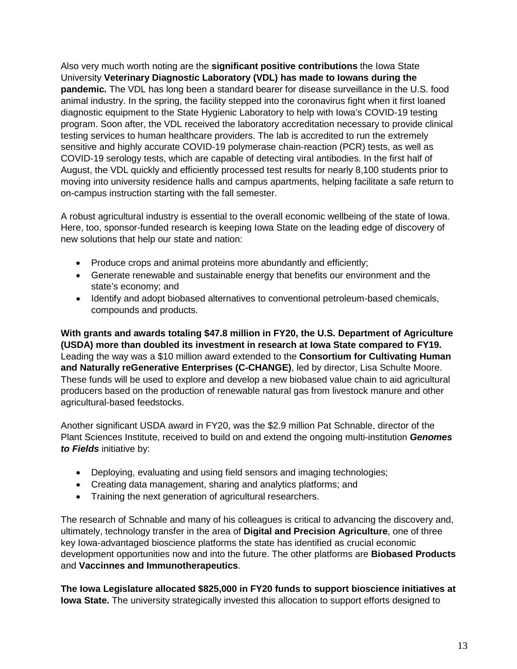Also very much worth noting are the **significant positive contributions** the Iowa State University **Veterinary Diagnostic Laboratory (VDL) has made to Iowans during the pandemic.** The VDL has long been a standard bearer for disease surveillance in the U.S. food animal industry. In the spring, the facility stepped into the coronavirus fight when it first loaned diagnostic equipment to the State Hygienic Laboratory to help with Iowa's COVID-19 testing program. Soon after, the VDL received the laboratory accreditation necessary to provide clinical testing services to human healthcare providers. The lab is accredited to run the extremely sensitive and highly accurate COVID-19 polymerase chain-reaction (PCR) tests, as well as COVID-19 serology tests, which are capable of detecting viral antibodies. In the first half of August, the VDL quickly and efficiently processed test results for nearly 8,100 students prior to moving into university residence halls and campus apartments, helping facilitate a safe return to on-campus instruction starting with the fall semester.

A robust agricultural industry is essential to the overall economic wellbeing of the state of Iowa. Here, too, sponsor-funded research is keeping Iowa State on the leading edge of discovery of new solutions that help our state and nation:

- Produce crops and animal proteins more abundantly and efficiently;
- Generate renewable and sustainable energy that benefits our environment and the state's economy; and
- Identify and adopt biobased alternatives to conventional petroleum-based chemicals, compounds and products.

**With grants and awards totaling \$47.8 million in FY20, the U.S. Department of Agriculture (USDA) more than doubled its investment in research at Iowa State compared to FY19.** Leading the way was a \$10 million award extended to the **Consortium for Cultivating Human and Naturally reGenerative Enterprises (C-CHANGE)**, led by director, Lisa Schulte Moore. These funds will be used to explore and develop a new biobased value chain to aid agricultural producers based on the production of renewable natural gas from livestock manure and other agricultural-based feedstocks.

Another significant USDA award in FY20, was the \$2.9 million Pat Schnable, director of the Plant Sciences Institute, received to build on and extend the ongoing multi-institution *Genomes to Fields* initiative by:

- Deploying, evaluating and using field sensors and imaging technologies;
- Creating data management, sharing and analytics platforms; and
- Training the next generation of agricultural researchers.

The research of Schnable and many of his colleagues is critical to advancing the discovery and, ultimately, technology transfer in the area of **Digital and Precision Agriculture**, one of three key Iowa-advantaged bioscience platforms the state has identified as crucial economic development opportunities now and into the future. The other platforms are **Biobased Products** and **Vaccinnes and Immunotherapeutics**.

**The Iowa Legislature allocated \$825,000 in FY20 funds to support bioscience initiatives at Iowa State.** The university strategically invested this allocation to support efforts designed to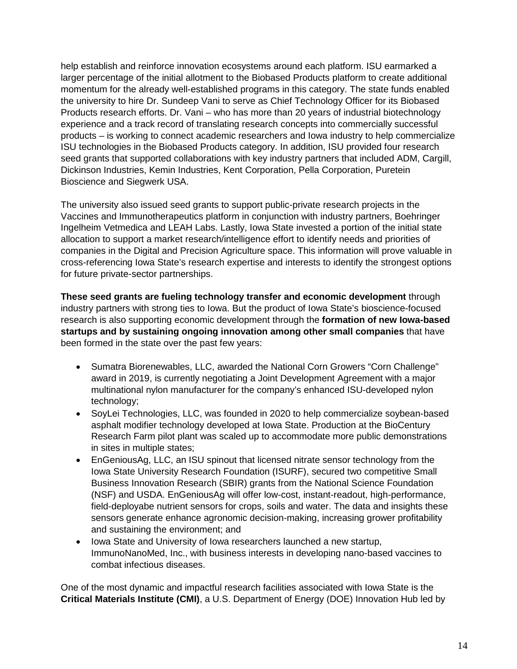help establish and reinforce innovation ecosystems around each platform. ISU earmarked a larger percentage of the initial allotment to the Biobased Products platform to create additional momentum for the already well-established programs in this category. The state funds enabled the university to hire Dr. Sundeep Vani to serve as Chief Technology Officer for its Biobased Products research efforts. Dr. Vani – who has more than 20 years of industrial biotechnology experience and a track record of translating research concepts into commercially successful products – is working to connect academic researchers and Iowa industry to help commercialize ISU technologies in the Biobased Products category. In addition, ISU provided four research seed grants that supported collaborations with key industry partners that included ADM, Cargill, Dickinson Industries, Kemin Industries, Kent Corporation, Pella Corporation, Puretein Bioscience and Siegwerk USA.

The university also issued seed grants to support public-private research projects in the Vaccines and Immunotherapeutics platform in conjunction with industry partners, Boehringer Ingelheim Vetmedica and LEAH Labs. Lastly, Iowa State invested a portion of the initial state allocation to support a market research/intelligence effort to identify needs and priorities of companies in the Digital and Precision Agriculture space. This information will prove valuable in cross-referencing Iowa State's research expertise and interests to identify the strongest options for future private-sector partnerships.

**These seed grants are fueling technology transfer and economic development** through industry partners with strong ties to Iowa. But the product of Iowa State's bioscience-focused research is also supporting economic development through the **formation of new Iowa-based startups and by sustaining ongoing innovation among other small companies** that have been formed in the state over the past few years:

- Sumatra Biorenewables, LLC, awarded the National Corn Growers "Corn Challenge" award in 2019, is currently negotiating a Joint Development Agreement with a major multinational nylon manufacturer for the company's enhanced ISU-developed nylon technology;
- SoyLei Technologies, LLC, was founded in 2020 to help commercialize soybean-based asphalt modifier technology developed at Iowa State. Production at the BioCentury Research Farm pilot plant was scaled up to accommodate more public demonstrations in sites in multiple states;
- EnGeniousAg, LLC, an ISU spinout that licensed nitrate sensor technology from the Iowa State University Research Foundation (ISURF), secured two competitive Small Business Innovation Research (SBIR) grants from the National Science Foundation (NSF) and USDA. EnGeniousAg will offer low-cost, instant-readout, high-performance, field-deployabe nutrient sensors for crops, soils and water. The data and insights these sensors generate enhance agronomic decision-making, increasing grower profitability and sustaining the environment; and
- Iowa State and University of Iowa researchers launched a new startup, ImmunoNanoMed, Inc., with business interests in developing nano-based vaccines to combat infectious diseases.

One of the most dynamic and impactful research facilities associated with Iowa State is the **Critical Materials Institute (CMI)**, a U.S. Department of Energy (DOE) Innovation Hub led by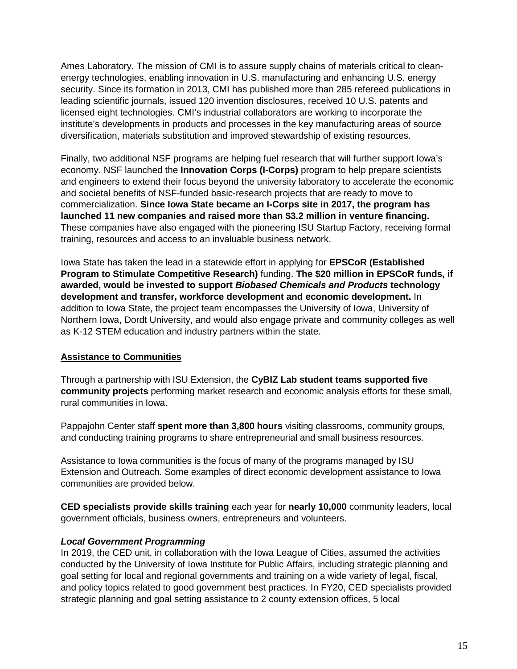Ames Laboratory. The mission of CMI is to assure supply chains of materials critical to cleanenergy technologies, enabling innovation in U.S. manufacturing and enhancing U.S. energy security. Since its formation in 2013, CMI has published more than 285 refereed publications in leading scientific journals, issued 120 invention disclosures, received 10 U.S. patents and licensed eight technologies. CMI's industrial collaborators are working to incorporate the institute's developments in products and processes in the key manufacturing areas of source diversification, materials substitution and improved stewardship of existing resources.

Finally, two additional NSF programs are helping fuel research that will further support Iowa's economy. NSF launched the **Innovation Corps (I-Corps)** program to help prepare scientists and engineers to extend their focus beyond the university laboratory to accelerate the economic and societal benefits of NSF-funded basic-research projects that are ready to move to commercialization. **Since Iowa State became an I-Corps site in 2017, the program has launched 11 new companies and raised more than \$3.2 million in venture financing.** These companies have also engaged with the pioneering ISU Startup Factory, receiving formal training, resources and access to an invaluable business network.

Iowa State has taken the lead in a statewide effort in applying for **EPSCoR (Established Program to Stimulate Competitive Research)** funding. **The \$20 million in EPSCoR funds, if awarded, would be invested to support** *Biobased Chemicals and Products* **technology development and transfer, workforce development and economic development.** In addition to Iowa State, the project team encompasses the University of Iowa, University of Northern Iowa, Dordt University, and would also engage private and community colleges as well as K-12 STEM education and industry partners within the state.

#### **Assistance to Communities**

Through a partnership with ISU Extension, the **CyBIZ Lab student teams supported five community projects** performing market research and economic analysis efforts for these small, rural communities in Iowa.

Pappajohn Center staff **spent more than 3,800 hours** visiting classrooms, community groups, and conducting training programs to share entrepreneurial and small business resources.

Assistance to Iowa communities is the focus of many of the programs managed by ISU Extension and Outreach. Some examples of direct economic development assistance to Iowa communities are provided below.

**CED specialists provide skills training** each year for **nearly 10,000** community leaders, local government officials, business owners, entrepreneurs and volunteers.

#### *Local Government Programming*

In 2019, the CED unit, in collaboration with the Iowa League of Cities, assumed the activities conducted by the University of Iowa Institute for Public Affairs, including strategic planning and goal setting for local and regional governments and training on a wide variety of legal, fiscal, and policy topics related to good government best practices. In FY20, CED specialists provided strategic planning and goal setting assistance to 2 county extension offices, 5 local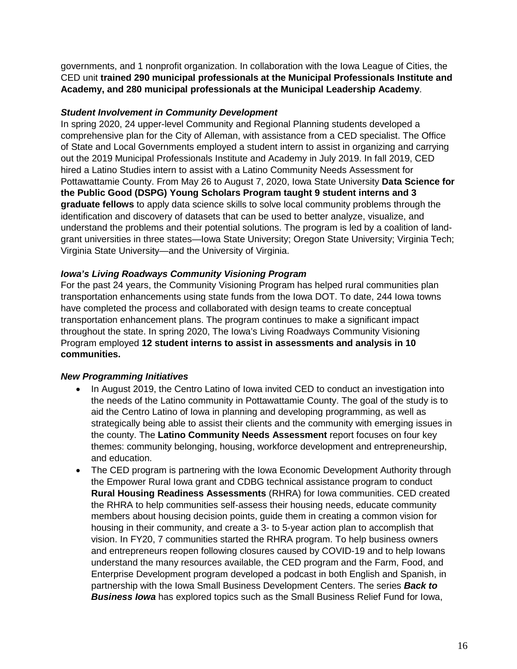governments, and 1 nonprofit organization. In collaboration with the Iowa League of Cities, the CED unit **trained 290 municipal professionals at the Municipal Professionals Institute and Academy, and 280 municipal professionals at the Municipal Leadership Academy**.

#### *Student Involvement in Community Development*

In spring 2020, 24 upper-level Community and Regional Planning students developed a comprehensive plan for the City of Alleman, with assistance from a CED specialist. The Office of State and Local Governments employed a student intern to assist in organizing and carrying out the 2019 Municipal Professionals Institute and Academy in July 2019. In fall 2019, CED hired a Latino Studies intern to assist with a Latino Community Needs Assessment for Pottawattamie County. From May 26 to August 7, 2020, Iowa State University **Data Science for the Public Good (DSPG) Young Scholars Program taught 9 student interns and 3 graduate fellows** to apply data science skills to solve local community problems through the identification and discovery of datasets that can be used to better analyze, visualize, and understand the problems and their potential solutions. The program is led by a coalition of landgrant universities in three states—Iowa State University; Oregon State University; Virginia Tech; Virginia State University—and the University of Virginia.

#### *Iowa's Living Roadways Community Visioning Program*

For the past 24 years, the Community Visioning Program has helped rural communities plan transportation enhancements using state funds from the Iowa DOT. To date, 244 Iowa towns have completed the process and collaborated with design teams to create conceptual transportation enhancement plans. The program continues to make a significant impact throughout the state. In spring 2020, The Iowa's Living Roadways Community Visioning Program employed **12 student interns to assist in assessments and analysis in 10 communities.**

#### *New Programming Initiatives*

- In August 2019, the Centro Latino of Iowa invited CED to conduct an investigation into the needs of the Latino community in Pottawattamie County. The goal of the study is to aid the Centro Latino of Iowa in planning and developing programming, as well as strategically being able to assist their clients and the community with emerging issues in the county. The **Latino Community Needs Assessment** report focuses on four key themes: community belonging, housing, workforce development and entrepreneurship, and education.
- The CED program is partnering with the Iowa Economic Development Authority through the Empower Rural Iowa grant and CDBG technical assistance program to conduct **Rural Housing Readiness Assessments** (RHRA) for Iowa communities. CED created the RHRA to help communities self-assess their housing needs, educate community members about housing decision points, guide them in creating a common vision for housing in their community, and create a 3- to 5-year action plan to accomplish that vision. In FY20, 7 communities started the RHRA program. To help business owners and entrepreneurs reopen following closures caused by COVID-19 and to help Iowans understand the many resources available, the CED program and the Farm, Food, and Enterprise Development program developed a podcast in both English and Spanish, in partnership with the Iowa Small Business Development Centers. The series *Back to Business Iowa* has explored topics such as the Small Business Relief Fund for Iowa,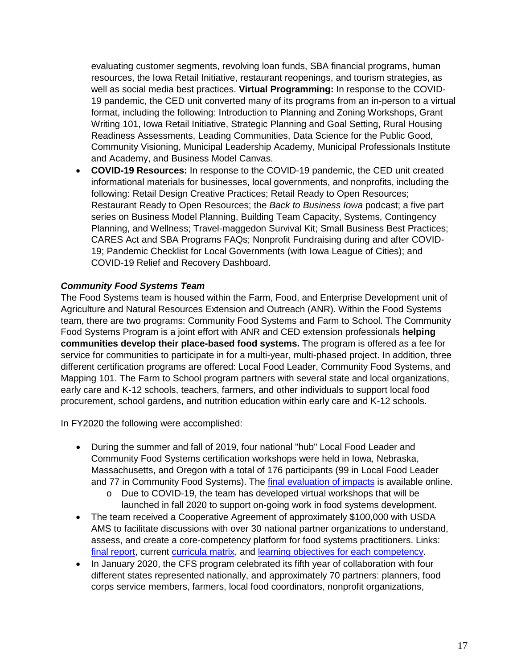evaluating customer segments, revolving loan funds, SBA financial programs, human resources, the Iowa Retail Initiative, restaurant reopenings, and tourism strategies, as well as social media best practices. **Virtual Programming:** In response to the COVID-19 pandemic, the CED unit converted many of its programs from an in-person to a virtual format, including the following: Introduction to Planning and Zoning Workshops, Grant Writing 101, Iowa Retail Initiative, Strategic Planning and Goal Setting, Rural Housing Readiness Assessments, Leading Communities, Data Science for the Public Good, Community Visioning, Municipal Leadership Academy, Municipal Professionals Institute and Academy, and Business Model Canvas.

• **COVID-19 Resources:** In response to the COVID-19 pandemic, the CED unit created informational materials for businesses, local governments, and nonprofits, including the following: Retail Design Creative Practices; Retail Ready to Open Resources; Restaurant Ready to Open Resources; the *Back to Business Iowa* podcast; a five part series on Business Model Planning, Building Team Capacity, Systems, Contingency Planning, and Wellness; Travel-maggedon Survival Kit; Small Business Best Practices; CARES Act and SBA Programs FAQs; Nonprofit Fundraising during and after COVID-19; Pandemic Checklist for Local Governments (with Iowa League of Cities); and COVID-19 Relief and Recovery Dashboard.

#### *Community Food Systems Team*

The Food Systems team is housed within the Farm, Food, and Enterprise Development unit of Agriculture and Natural Resources Extension and Outreach (ANR). Within the Food Systems team, there are two programs: Community Food Systems and Farm to School. The Community Food Systems Program is a joint effort with ANR and CED extension professionals **helping communities develop their place-based food systems.** The program is offered as a fee for service for communities to participate in for a multi-year, multi-phased project. In addition, three different certification programs are offered: Local Food Leader, Community Food Systems, and Mapping 101. The Farm to School program partners with several state and local organizations, early care and K-12 schools, teachers, farmers, and other individuals to support local food procurement, school gardens, and nutrition education within early care and K-12 schools.

In FY2020 the following were accomplished:

- During the summer and fall of 2019, four national "hub" Local Food Leader and Community Food Systems certification workshops were held in Iowa, Nebraska, Massachusetts, and Oregon with a total of 176 participants (99 in Local Food Leader and 77 in Community Food Systems). The [final evaluation of impacts](https://www.extension.iastate.edu/ffed/wp-content/uploads/20200210_Final-CFS-Hubs-Evaluation-Report.pdf) is available online.
	- o Due to COVID-19, the team has developed virtual workshops that will be launched in fall 2020 to support on-going work in food systems development.
- The team received a Cooperative Agreement of approximately \$100,000 with USDA AMS to facilitate discussions with over 30 national partner organizations to understand, assess, and create a core-competency platform for food systems practitioners. Links: [final report,](https://www.extension.iastate.edu/ffed/wp-content/uploads/2020_CoreCompetencyFinalReport2.pdf) current [curricula matrix,](https://www.extension.iastate.edu/ffed/curricula-tool-and-directory/) and [learning objectives for each competency.](https://www.extension.iastate.edu/ffed/wp-content/uploads/2019_Example-Core-Competency-Learning-Objectives.pdf)
- In January 2020, the CFS program celebrated its fifth year of collaboration with four different states represented nationally, and approximately 70 partners: planners, food corps service members, farmers, local food coordinators, nonprofit organizations,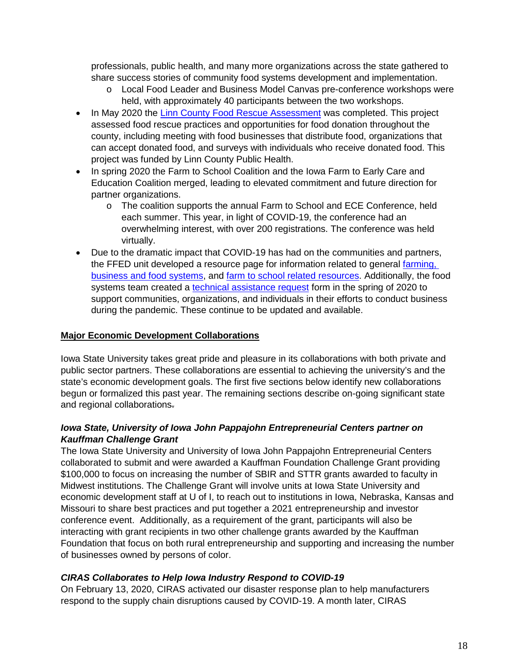professionals, public health, and many more organizations across the state gathered to share success stories of community food systems development and implementation.

- o Local Food Leader and Business Model Canvas pre-conference workshops were held, with approximately 40 participants between the two workshops.
- In May 2020 the [Linn County Food Rescue Assessment](https://www.extension.iastate.edu/ffed/wp-content/uploads/Final-Linn-County-Food-Rescue-Report.pdf) was completed. This project assessed food rescue practices and opportunities for food donation throughout the county, including meeting with food businesses that distribute food, organizations that can accept donated food, and surveys with individuals who receive donated food. This project was funded by Linn County Public Health.
- In spring 2020 the Farm to School Coalition and the Iowa Farm to Early Care and Education Coalition merged, leading to elevated commitment and future direction for partner organizations.
	- o The coalition supports the annual Farm to School and ECE Conference, held each summer. This year, in light of COVID-19, the conference had an overwhelming interest, with over 200 registrations. The conference was held virtually.
- Due to the dramatic impact that COVID-19 has had on the communities and partners, the FFED unit developed a resource page for information related to general farming, [business and food systems,](https://www.extension.iastate.edu/ffed/ffed-covid-resources/) and [farm to school related resources.](https://docs.google.com/document/d/1To50_odtbVDo9dG4d5ilbhYAnnrtMpbBme93YBoOWzk/edit) Additionally, the food systems team created a [technical assistance request](https://iastate.qualtrics.com/jfe/form/SV_b8IQgHsfeTqTClL) form in the spring of 2020 to support communities, organizations, and individuals in their efforts to conduct business during the pandemic. These continue to be updated and available.

#### **Major Economic Development Collaborations**

Iowa State University takes great pride and pleasure in its collaborations with both private and public sector partners. These collaborations are essential to achieving the university's and the state's economic development goals. The first five sections below identify new collaborations begun or formalized this past year. The remaining sections describe on-going significant state and regional collaborations.

#### *Iowa State, University of Iowa John Pappajohn Entrepreneurial Centers partner on Kauffman Challenge Grant*

The Iowa State University and University of Iowa John Pappajohn Entrepreneurial Centers collaborated to submit and were awarded a Kauffman Foundation Challenge Grant providing \$100,000 to focus on increasing the number of SBIR and STTR grants awarded to faculty in Midwest institutions. The Challenge Grant will involve units at Iowa State University and economic development staff at U of I, to reach out to institutions in Iowa, Nebraska, Kansas and Missouri to share best practices and put together a 2021 entrepreneurship and investor conference event. Additionally, as a requirement of the grant, participants will also be interacting with grant recipients in two other challenge grants awarded by the Kauffman Foundation that focus on both rural entrepreneurship and supporting and increasing the number of businesses owned by persons of color.

#### *CIRAS Collaborates to Help Iowa Industry Respond to COVID-19*

On February 13, 2020, CIRAS activated our disaster response plan to help manufacturers respond to the supply chain disruptions caused by COVID-19. A month later, CIRAS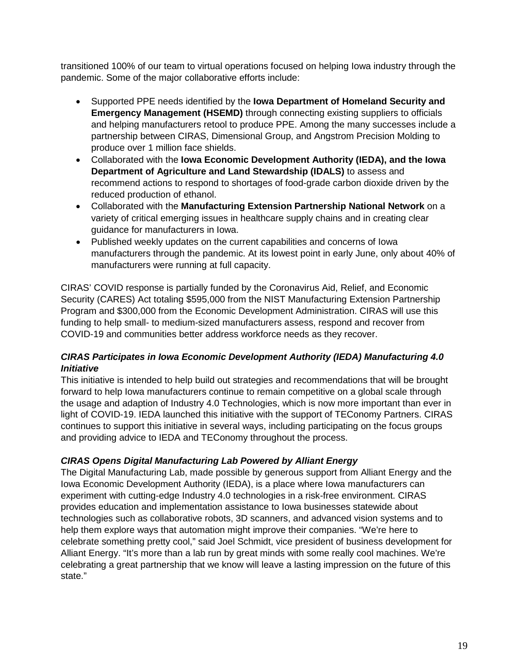transitioned 100% of our team to virtual operations focused on helping Iowa industry through the pandemic. Some of the major collaborative efforts include:

- Supported PPE needs identified by the **Iowa Department of Homeland Security and Emergency Management (HSEMD)** through connecting existing suppliers to officials and helping manufacturers retool to produce PPE. Among the many successes include a partnership between CIRAS, Dimensional Group, and Angstrom Precision Molding to produce over 1 million face shields.
- Collaborated with the **Iowa Economic Development Authority (IEDA), and the Iowa Department of Agriculture and Land Stewardship (IDALS)** to assess and recommend actions to respond to shortages of food-grade carbon dioxide driven by the reduced production of ethanol.
- Collaborated with the **Manufacturing Extension Partnership National Network** on a variety of critical emerging issues in healthcare supply chains and in creating clear guidance for manufacturers in Iowa.
- Published weekly updates on the current capabilities and concerns of Iowa manufacturers through the pandemic. At its lowest point in early June, only about 40% of manufacturers were running at full capacity.

CIRAS' COVID response is partially funded by the Coronavirus Aid, Relief, and Economic Security (CARES) Act totaling \$595,000 from the NIST Manufacturing Extension Partnership Program and \$300,000 from the Economic Development Administration. CIRAS will use this funding to help small- to medium-sized manufacturers assess, respond and recover from COVID-19 and communities better address workforce needs as they recover.

#### *CIRAS Participates in Iowa Economic Development Authority (IEDA) Manufacturing 4.0 Initiative*

This initiative is intended to help build out strategies and recommendations that will be brought forward to help Iowa manufacturers continue to remain competitive on a global scale through the usage and adaption of Industry 4.0 Technologies, which is now more important than ever in light of COVID-19. IEDA launched this initiative with the support of TEConomy Partners. CIRAS continues to support this initiative in several ways, including participating on the focus groups and providing advice to IEDA and TEConomy throughout the process.

#### *CIRAS Opens Digital Manufacturing Lab Powered by Alliant Energy*

The Digital Manufacturing Lab, made possible by generous support from Alliant Energy and the Iowa Economic Development Authority (IEDA), is a place where Iowa manufacturers can experiment with cutting-edge Industry 4.0 technologies in a risk-free environment. CIRAS provides education and implementation assistance to Iowa businesses statewide about technologies such as collaborative robots, 3D scanners, and advanced vision systems and to help them explore ways that automation might improve their companies. "We're here to celebrate something pretty cool," said Joel Schmidt, vice president of business development for Alliant Energy. "It's more than a lab run by great minds with some really cool machines. We're celebrating a great partnership that we know will leave a lasting impression on the future of this state."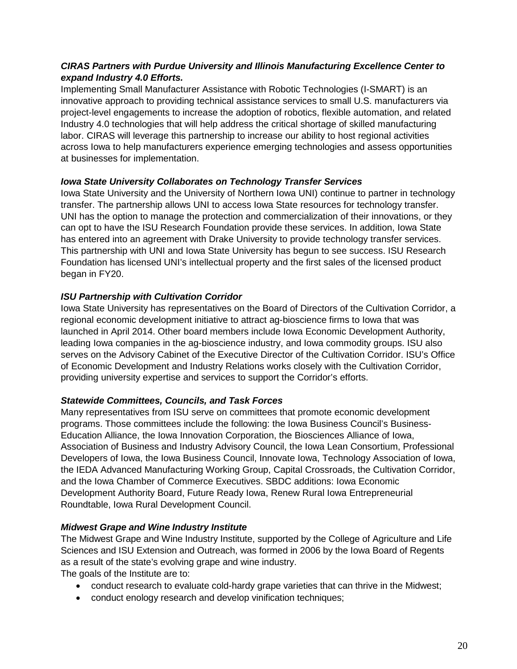#### *CIRAS Partners with Purdue University and Illinois Manufacturing Excellence Center to expand Industry 4.0 Efforts.*

Implementing Small Manufacturer Assistance with Robotic Technologies (I-SMART) is an innovative approach to providing technical assistance services to small U.S. manufacturers via project-level engagements to increase the adoption of robotics, flexible automation, and related Industry 4.0 technologies that will help address the critical shortage of skilled manufacturing labor. CIRAS will leverage this partnership to increase our ability to host regional activities across Iowa to help manufacturers experience emerging technologies and assess opportunities at businesses for implementation.

#### *Iowa State University Collaborates on Technology Transfer Services*

Iowa State University and the University of Northern Iowa UNI) continue to partner in technology transfer. The partnership allows UNI to access Iowa State resources for technology transfer. UNI has the option to manage the protection and commercialization of their innovations, or they can opt to have the ISU Research Foundation provide these services. In addition, Iowa State has entered into an agreement with Drake University to provide technology transfer services. This partnership with UNI and Iowa State University has begun to see success. ISU Research Foundation has licensed UNI's intellectual property and the first sales of the licensed product began in FY20.

#### *ISU Partnership with Cultivation Corridor*

Iowa State University has representatives on the Board of Directors of the Cultivation Corridor, a regional economic development initiative to attract ag-bioscience firms to Iowa that was launched in April 2014. Other board members include Iowa Economic Development Authority, leading Iowa companies in the ag-bioscience industry, and Iowa commodity groups. ISU also serves on the Advisory Cabinet of the Executive Director of the Cultivation Corridor. ISU's Office of Economic Development and Industry Relations works closely with the Cultivation Corridor, providing university expertise and services to support the Corridor's efforts.

#### *Statewide Committees, Councils, and Task Forces*

Many representatives from ISU serve on committees that promote economic development programs. Those committees include the following: the Iowa Business Council's Business-Education Alliance, the Iowa Innovation Corporation, the Biosciences Alliance of Iowa, Association of Business and Industry Advisory Council, the Iowa Lean Consortium, Professional Developers of Iowa, the Iowa Business Council, Innovate Iowa, Technology Association of Iowa, the IEDA Advanced Manufacturing Working Group, Capital Crossroads, the Cultivation Corridor, and the Iowa Chamber of Commerce Executives. SBDC additions: Iowa Economic Development Authority Board, Future Ready Iowa, Renew Rural Iowa Entrepreneurial Roundtable, Iowa Rural Development Council.

#### *Midwest Grape and Wine Industry Institute*

The Midwest Grape and Wine Industry Institute, supported by the College of Agriculture and Life Sciences and ISU Extension and Outreach, was formed in 2006 by the Iowa Board of Regents as a result of the state's evolving grape and wine industry.

The goals of the Institute are to:

- conduct research to evaluate cold-hardy grape varieties that can thrive in the Midwest;
- conduct enology research and develop vinification techniques;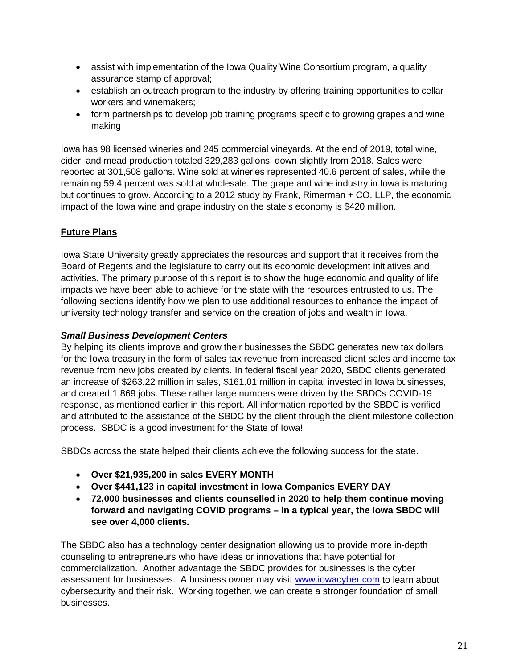- assist with implementation of the Iowa Quality Wine Consortium program, a quality assurance stamp of approval;
- establish an outreach program to the industry by offering training opportunities to cellar workers and winemakers;
- form partnerships to develop job training programs specific to growing grapes and wine making

Iowa has 98 licensed wineries and 245 commercial vineyards. At the end of 2019, total wine, cider, and mead production totaled 329,283 gallons, down slightly from 2018. Sales were reported at 301,508 gallons. Wine sold at wineries represented 40.6 percent of sales, while the remaining 59.4 percent was sold at wholesale. The grape and wine industry in Iowa is maturing but continues to grow. According to a 2012 study by Frank, Rimerman + CO. LLP, the economic impact of the Iowa wine and grape industry on the state's economy is \$420 million.

#### **Future Plans**

Iowa State University greatly appreciates the resources and support that it receives from the Board of Regents and the legislature to carry out its economic development initiatives and activities. The primary purpose of this report is to show the huge economic and quality of life impacts we have been able to achieve for the state with the resources entrusted to us. The following sections identify how we plan to use additional resources to enhance the impact of university technology transfer and service on the creation of jobs and wealth in Iowa.

#### *Small Business Development Centers*

By helping its clients improve and grow their businesses the SBDC generates new tax dollars for the Iowa treasury in the form of sales tax revenue from increased client sales and income tax revenue from new jobs created by clients. In federal fiscal year 2020, SBDC clients generated an increase of \$263.22 million in sales, \$161.01 million in capital invested in Iowa businesses, and created 1,869 jobs. These rather large numbers were driven by the SBDCs COVID-19 response, as mentioned earlier in this report. All information reported by the SBDC is verified and attributed to the assistance of the SBDC by the client through the client milestone collection process. SBDC is a good investment for the State of Iowa!

SBDCs across the state helped their clients achieve the following success for the state.

- **Over \$21,935,200 in sales EVERY MONTH**
- **Over \$441,123 in capital investment in Iowa Companies EVERY DAY**
- **72,000 businesses and clients counselled in 2020 to help them continue moving forward and navigating COVID programs – in a typical year, the Iowa SBDC will see over 4,000 clients.**

The SBDC also has a technology center designation allowing us to provide more in-depth counseling to entrepreneurs who have ideas or innovations that have potential for commercialization. Another advantage the SBDC provides for businesses is the cyber assessment for businesses. A business owner may visit [www.iowacyber.com](http://www.iowacyber.com/) to learn about cybersecurity and their risk. Working together, we can create a stronger foundation of small businesses.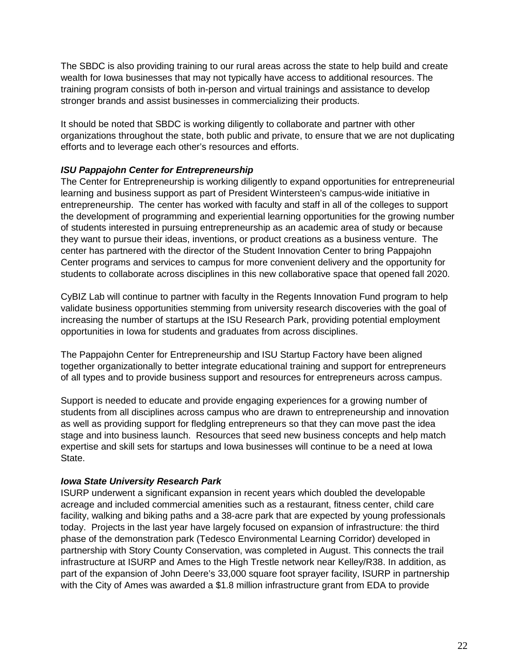The SBDC is also providing training to our rural areas across the state to help build and create wealth for Iowa businesses that may not typically have access to additional resources. The training program consists of both in-person and virtual trainings and assistance to develop stronger brands and assist businesses in commercializing their products.

It should be noted that SBDC is working diligently to collaborate and partner with other organizations throughout the state, both public and private, to ensure that we are not duplicating efforts and to leverage each other's resources and efforts.

#### *ISU Pappajohn Center for Entrepreneurship*

The Center for Entrepreneurship is working diligently to expand opportunities for entrepreneurial learning and business support as part of President Wintersteen's campus-wide initiative in entrepreneurship. The center has worked with faculty and staff in all of the colleges to support the development of programming and experiential learning opportunities for the growing number of students interested in pursuing entrepreneurship as an academic area of study or because they want to pursue their ideas, inventions, or product creations as a business venture. The center has partnered with the director of the Student Innovation Center to bring Pappajohn Center programs and services to campus for more convenient delivery and the opportunity for students to collaborate across disciplines in this new collaborative space that opened fall 2020.

CyBIZ Lab will continue to partner with faculty in the Regents Innovation Fund program to help validate business opportunities stemming from university research discoveries with the goal of increasing the number of startups at the ISU Research Park, providing potential employment opportunities in Iowa for students and graduates from across disciplines.

The Pappajohn Center for Entrepreneurship and ISU Startup Factory have been aligned together organizationally to better integrate educational training and support for entrepreneurs of all types and to provide business support and resources for entrepreneurs across campus.

Support is needed to educate and provide engaging experiences for a growing number of students from all disciplines across campus who are drawn to entrepreneurship and innovation as well as providing support for fledgling entrepreneurs so that they can move past the idea stage and into business launch. Resources that seed new business concepts and help match expertise and skill sets for startups and Iowa businesses will continue to be a need at Iowa State.

#### *Iowa State University Research Park*

ISURP underwent a significant expansion in recent years which doubled the developable acreage and included commercial amenities such as a restaurant, fitness center, child care facility, walking and biking paths and a 38-acre park that are expected by young professionals today. Projects in the last year have largely focused on expansion of infrastructure: the third phase of the demonstration park (Tedesco Environmental Learning Corridor) developed in partnership with Story County Conservation, was completed in August. This connects the trail infrastructure at ISURP and Ames to the High Trestle network near Kelley/R38. In addition, as part of the expansion of John Deere's 33,000 square foot sprayer facility, ISURP in partnership with the City of Ames was awarded a \$1.8 million infrastructure grant from EDA to provide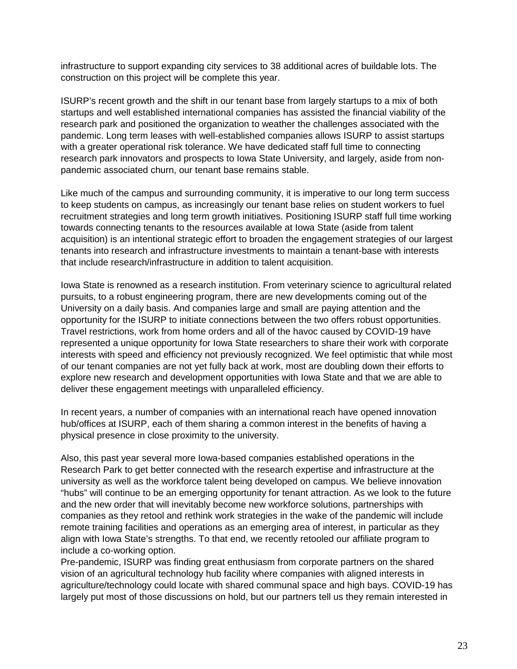infrastructure to support expanding city services to 38 additional acres of buildable lots. The construction on this project will be complete this year.

ISURP's recent growth and the shift in our tenant base from largely startups to a mix of both startups and well established international companies has assisted the financial viability of the research park and positioned the organization to weather the challenges associated with the pandemic. Long term leases with well-established companies allows ISURP to assist startups with a greater operational risk tolerance. We have dedicated staff full time to connecting research park innovators and prospects to Iowa State University, and largely, aside from nonpandemic associated churn, our tenant base remains stable.

Like much of the campus and surrounding community, it is imperative to our long term success to keep students on campus, as increasingly our tenant base relies on student workers to fuel recruitment strategies and long term growth initiatives. Positioning ISURP staff full time working towards connecting tenants to the resources available at Iowa State (aside from talent acquisition) is an intentional strategic effort to broaden the engagement strategies of our largest tenants into research and infrastructure investments to maintain a tenant-base with interests that include research/infrastructure in addition to talent acquisition.

Iowa State is renowned as a research institution. From veterinary science to agricultural related pursuits, to a robust engineering program, there are new developments coming out of the University on a daily basis. And companies large and small are paying attention and the opportunity for the ISURP to initiate connections between the two offers robust opportunities. Travel restrictions, work from home orders and all of the havoc caused by COVID-19 have represented a unique opportunity for Iowa State researchers to share their work with corporate interests with speed and efficiency not previously recognized. We feel optimistic that while most of our tenant companies are not yet fully back at work, most are doubling down their efforts to explore new research and development opportunities with Iowa State and that we are able to deliver these engagement meetings with unparalleled efficiency.

In recent years, a number of companies with an international reach have opened innovation hub/offices at ISURP, each of them sharing a common interest in the benefits of having a physical presence in close proximity to the university.

Also, this past year several more Iowa-based companies established operations in the Research Park to get better connected with the research expertise and infrastructure at the university as well as the workforce talent being developed on campus. We believe innovation "hubs" will continue to be an emerging opportunity for tenant attraction. As we look to the future and the new order that will inevitably become new workforce solutions, partnerships with companies as they retool and rethink work strategies in the wake of the pandemic will include remote training facilities and operations as an emerging area of interest, in particular as they align with Iowa State's strengths. To that end, we recently retooled our affiliate program to include a co-working option.

Pre-pandemic, ISURP was finding great enthusiasm from corporate partners on the shared vision of an agricultural technology hub facility where companies with aligned interests in agriculture/technology could locate with shared communal space and high bays. COVID-19 has largely put most of those discussions on hold, but our partners tell us they remain interested in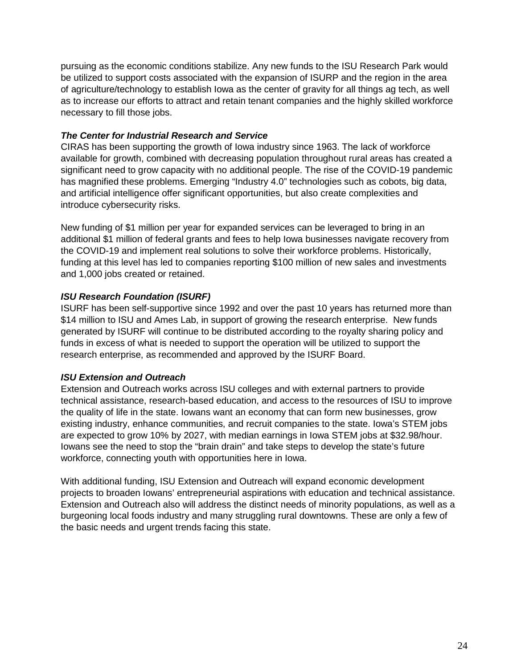pursuing as the economic conditions stabilize. Any new funds to the ISU Research Park would be utilized to support costs associated with the expansion of ISURP and the region in the area of agriculture/technology to establish Iowa as the center of gravity for all things ag tech, as well as to increase our efforts to attract and retain tenant companies and the highly skilled workforce necessary to fill those jobs.

#### *The Center for Industrial Research and Service*

CIRAS has been supporting the growth of Iowa industry since 1963. The lack of workforce available for growth, combined with decreasing population throughout rural areas has created a significant need to grow capacity with no additional people. The rise of the COVID-19 pandemic has magnified these problems. Emerging "Industry 4.0" technologies such as cobots, big data, and artificial intelligence offer significant opportunities, but also create complexities and introduce cybersecurity risks.

New funding of \$1 million per year for expanded services can be leveraged to bring in an additional \$1 million of federal grants and fees to help Iowa businesses navigate recovery from the COVID-19 and implement real solutions to solve their workforce problems. Historically, funding at this level has led to companies reporting \$100 million of new sales and investments and 1,000 jobs created or retained.

#### *ISU Research Foundation (ISURF)*

ISURF has been self-supportive since 1992 and over the past 10 years has returned more than \$14 million to ISU and Ames Lab, in support of growing the research enterprise. New funds generated by ISURF will continue to be distributed according to the royalty sharing policy and funds in excess of what is needed to support the operation will be utilized to support the research enterprise, as recommended and approved by the ISURF Board.

#### *ISU Extension and Outreach*

Extension and Outreach works across ISU colleges and with external partners to provide technical assistance, research-based education, and access to the resources of ISU to improve the quality of life in the state. Iowans want an economy that can form new businesses, grow existing industry, enhance communities, and recruit companies to the state. Iowa's STEM jobs are expected to grow 10% by 2027, with median earnings in Iowa STEM jobs at \$32.98/hour. Iowans see the need to stop the "brain drain" and take steps to develop the state's future workforce, connecting youth with opportunities here in Iowa.

With additional funding, ISU Extension and Outreach will expand economic development projects to broaden Iowans' entrepreneurial aspirations with education and technical assistance. Extension and Outreach also will address the distinct needs of minority populations, as well as a burgeoning local foods industry and many struggling rural downtowns. These are only a few of the basic needs and urgent trends facing this state.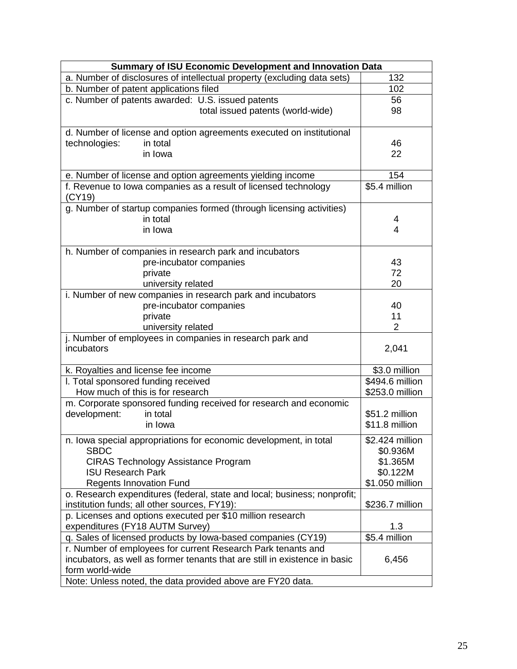| a. Number of disclosures of intellectual property (excluding data sets)<br>132<br>b. Number of patent applications filed<br>102<br>c. Number of patents awarded: U.S. issued patents<br>56<br>98<br>total issued patents (world-wide)<br>d. Number of license and option agreements executed on institutional<br>technologies:<br>46<br>in total<br>in Iowa<br>22<br>154<br>e. Number of license and option agreements yielding income<br>\$5.4 million<br>f. Revenue to lowa companies as a result of licensed technology<br>(CY19)<br>g. Number of startup companies formed (through licensing activities)<br>in total<br>4<br>in Iowa<br>4<br>h. Number of companies in research park and incubators<br>pre-incubator companies<br>43<br>72<br>private<br>university related<br>20<br>i. Number of new companies in research park and incubators<br>pre-incubator companies<br>40<br>11<br>private<br>university related<br>$\overline{2}$<br>j. Number of employees in companies in research park and<br>incubators<br>2,041 |
|----------------------------------------------------------------------------------------------------------------------------------------------------------------------------------------------------------------------------------------------------------------------------------------------------------------------------------------------------------------------------------------------------------------------------------------------------------------------------------------------------------------------------------------------------------------------------------------------------------------------------------------------------------------------------------------------------------------------------------------------------------------------------------------------------------------------------------------------------------------------------------------------------------------------------------------------------------------------------------------------------------------------------------|
|                                                                                                                                                                                                                                                                                                                                                                                                                                                                                                                                                                                                                                                                                                                                                                                                                                                                                                                                                                                                                                  |
|                                                                                                                                                                                                                                                                                                                                                                                                                                                                                                                                                                                                                                                                                                                                                                                                                                                                                                                                                                                                                                  |
|                                                                                                                                                                                                                                                                                                                                                                                                                                                                                                                                                                                                                                                                                                                                                                                                                                                                                                                                                                                                                                  |
|                                                                                                                                                                                                                                                                                                                                                                                                                                                                                                                                                                                                                                                                                                                                                                                                                                                                                                                                                                                                                                  |
|                                                                                                                                                                                                                                                                                                                                                                                                                                                                                                                                                                                                                                                                                                                                                                                                                                                                                                                                                                                                                                  |
|                                                                                                                                                                                                                                                                                                                                                                                                                                                                                                                                                                                                                                                                                                                                                                                                                                                                                                                                                                                                                                  |
|                                                                                                                                                                                                                                                                                                                                                                                                                                                                                                                                                                                                                                                                                                                                                                                                                                                                                                                                                                                                                                  |
|                                                                                                                                                                                                                                                                                                                                                                                                                                                                                                                                                                                                                                                                                                                                                                                                                                                                                                                                                                                                                                  |
|                                                                                                                                                                                                                                                                                                                                                                                                                                                                                                                                                                                                                                                                                                                                                                                                                                                                                                                                                                                                                                  |
|                                                                                                                                                                                                                                                                                                                                                                                                                                                                                                                                                                                                                                                                                                                                                                                                                                                                                                                                                                                                                                  |
|                                                                                                                                                                                                                                                                                                                                                                                                                                                                                                                                                                                                                                                                                                                                                                                                                                                                                                                                                                                                                                  |
|                                                                                                                                                                                                                                                                                                                                                                                                                                                                                                                                                                                                                                                                                                                                                                                                                                                                                                                                                                                                                                  |
|                                                                                                                                                                                                                                                                                                                                                                                                                                                                                                                                                                                                                                                                                                                                                                                                                                                                                                                                                                                                                                  |
|                                                                                                                                                                                                                                                                                                                                                                                                                                                                                                                                                                                                                                                                                                                                                                                                                                                                                                                                                                                                                                  |
|                                                                                                                                                                                                                                                                                                                                                                                                                                                                                                                                                                                                                                                                                                                                                                                                                                                                                                                                                                                                                                  |
|                                                                                                                                                                                                                                                                                                                                                                                                                                                                                                                                                                                                                                                                                                                                                                                                                                                                                                                                                                                                                                  |
|                                                                                                                                                                                                                                                                                                                                                                                                                                                                                                                                                                                                                                                                                                                                                                                                                                                                                                                                                                                                                                  |
|                                                                                                                                                                                                                                                                                                                                                                                                                                                                                                                                                                                                                                                                                                                                                                                                                                                                                                                                                                                                                                  |
|                                                                                                                                                                                                                                                                                                                                                                                                                                                                                                                                                                                                                                                                                                                                                                                                                                                                                                                                                                                                                                  |
|                                                                                                                                                                                                                                                                                                                                                                                                                                                                                                                                                                                                                                                                                                                                                                                                                                                                                                                                                                                                                                  |
|                                                                                                                                                                                                                                                                                                                                                                                                                                                                                                                                                                                                                                                                                                                                                                                                                                                                                                                                                                                                                                  |
|                                                                                                                                                                                                                                                                                                                                                                                                                                                                                                                                                                                                                                                                                                                                                                                                                                                                                                                                                                                                                                  |
|                                                                                                                                                                                                                                                                                                                                                                                                                                                                                                                                                                                                                                                                                                                                                                                                                                                                                                                                                                                                                                  |
|                                                                                                                                                                                                                                                                                                                                                                                                                                                                                                                                                                                                                                                                                                                                                                                                                                                                                                                                                                                                                                  |
|                                                                                                                                                                                                                                                                                                                                                                                                                                                                                                                                                                                                                                                                                                                                                                                                                                                                                                                                                                                                                                  |
| \$3.0 million<br>k. Royalties and license fee income                                                                                                                                                                                                                                                                                                                                                                                                                                                                                                                                                                                                                                                                                                                                                                                                                                                                                                                                                                             |
| I. Total sponsored funding received<br>\$494.6 million                                                                                                                                                                                                                                                                                                                                                                                                                                                                                                                                                                                                                                                                                                                                                                                                                                                                                                                                                                           |
| How much of this is for research<br>\$253.0 million                                                                                                                                                                                                                                                                                                                                                                                                                                                                                                                                                                                                                                                                                                                                                                                                                                                                                                                                                                              |
| m. Corporate sponsored funding received for research and economic                                                                                                                                                                                                                                                                                                                                                                                                                                                                                                                                                                                                                                                                                                                                                                                                                                                                                                                                                                |
| \$51.2 million<br>development:<br>in total                                                                                                                                                                                                                                                                                                                                                                                                                                                                                                                                                                                                                                                                                                                                                                                                                                                                                                                                                                                       |
| \$11.8 million<br>in Iowa                                                                                                                                                                                                                                                                                                                                                                                                                                                                                                                                                                                                                                                                                                                                                                                                                                                                                                                                                                                                        |
| n. Iowa special appropriations for economic development, in total<br>\$2.424 million                                                                                                                                                                                                                                                                                                                                                                                                                                                                                                                                                                                                                                                                                                                                                                                                                                                                                                                                             |
| <b>SBDC</b><br>\$0.936M                                                                                                                                                                                                                                                                                                                                                                                                                                                                                                                                                                                                                                                                                                                                                                                                                                                                                                                                                                                                          |
| <b>CIRAS Technology Assistance Program</b><br>\$1.365M                                                                                                                                                                                                                                                                                                                                                                                                                                                                                                                                                                                                                                                                                                                                                                                                                                                                                                                                                                           |
| <b>ISU Research Park</b><br>\$0.122M                                                                                                                                                                                                                                                                                                                                                                                                                                                                                                                                                                                                                                                                                                                                                                                                                                                                                                                                                                                             |
| <b>Regents Innovation Fund</b><br>\$1.050 million                                                                                                                                                                                                                                                                                                                                                                                                                                                                                                                                                                                                                                                                                                                                                                                                                                                                                                                                                                                |
| o. Research expenditures (federal, state and local; business; nonprofit;                                                                                                                                                                                                                                                                                                                                                                                                                                                                                                                                                                                                                                                                                                                                                                                                                                                                                                                                                         |
| institution funds; all other sources, FY19):<br>\$236.7 million                                                                                                                                                                                                                                                                                                                                                                                                                                                                                                                                                                                                                                                                                                                                                                                                                                                                                                                                                                  |
| p. Licenses and options executed per \$10 million research<br>expenditures (FY18 AUTM Survey)<br>1.3                                                                                                                                                                                                                                                                                                                                                                                                                                                                                                                                                                                                                                                                                                                                                                                                                                                                                                                             |
| \$5.4 million<br>q. Sales of licensed products by Iowa-based companies (CY19)                                                                                                                                                                                                                                                                                                                                                                                                                                                                                                                                                                                                                                                                                                                                                                                                                                                                                                                                                    |
| r. Number of employees for current Research Park tenants and                                                                                                                                                                                                                                                                                                                                                                                                                                                                                                                                                                                                                                                                                                                                                                                                                                                                                                                                                                     |
| incubators, as well as former tenants that are still in existence in basic<br>6,456                                                                                                                                                                                                                                                                                                                                                                                                                                                                                                                                                                                                                                                                                                                                                                                                                                                                                                                                              |
| form world-wide                                                                                                                                                                                                                                                                                                                                                                                                                                                                                                                                                                                                                                                                                                                                                                                                                                                                                                                                                                                                                  |
| Note: Unless noted, the data provided above are FY20 data.                                                                                                                                                                                                                                                                                                                                                                                                                                                                                                                                                                                                                                                                                                                                                                                                                                                                                                                                                                       |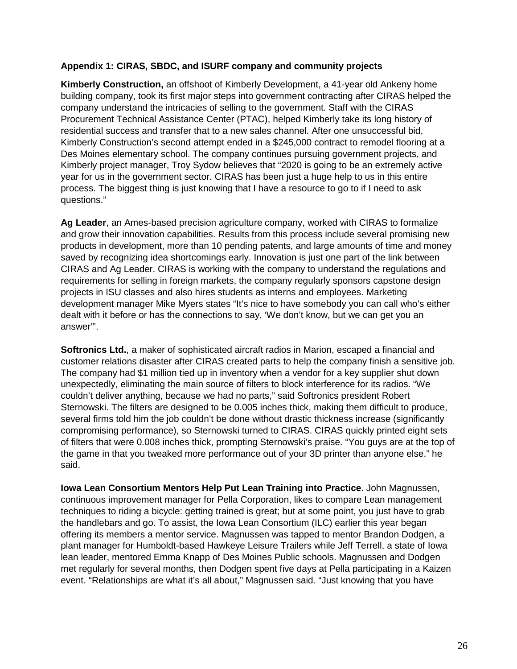#### **Appendix 1: CIRAS, SBDC, and ISURF company and community projects**

**Kimberly Construction,** an offshoot of Kimberly Development, a 41-year old Ankeny home building company, took its first major steps into government contracting after CIRAS helped the company understand the intricacies of selling to the government. Staff with the CIRAS Procurement Technical Assistance Center (PTAC), helped Kimberly take its long history of residential success and transfer that to a new sales channel. After one unsuccessful bid, Kimberly Construction's second attempt ended in a \$245,000 contract to remodel flooring at a Des Moines elementary school. The company continues pursuing government projects, and Kimberly project manager, Troy Sydow believes that "2020 is going to be an extremely active year for us in the government sector. CIRAS has been just a huge help to us in this entire process. The biggest thing is just knowing that I have a resource to go to if I need to ask questions."

**Ag Leader**, an Ames-based precision agriculture company, worked with CIRAS to formalize and grow their innovation capabilities. Results from this process include several promising new products in development, more than 10 pending patents, and large amounts of time and money saved by recognizing idea shortcomings early. Innovation is just one part of the link between CIRAS and Ag Leader. CIRAS is working with the company to understand the regulations and requirements for selling in foreign markets, the company regularly sponsors capstone design projects in ISU classes and also hires students as interns and employees. Marketing development manager Mike Myers states "It's nice to have somebody you can call who's either dealt with it before or has the connections to say, 'We don't know, but we can get you an answer'".

**Softronics Ltd.**, a maker of sophisticated aircraft radios in Marion, escaped a financial and customer relations disaster after CIRAS created parts to help the company finish a sensitive job. The company had \$1 million tied up in inventory when a vendor for a key supplier shut down unexpectedly, eliminating the main source of filters to block interference for its radios. "We couldn't deliver anything, because we had no parts," said Softronics president Robert Sternowski. The filters are designed to be 0.005 inches thick, making them difficult to produce, several firms told him the job couldn't be done without drastic thickness increase (significantly compromising performance), so Sternowski turned to CIRAS. CIRAS quickly printed eight sets of filters that were 0.008 inches thick, prompting Sternowski's praise. "You guys are at the top of the game in that you tweaked more performance out of your 3D printer than anyone else." he said.

**Iowa Lean Consortium Mentors Help Put Lean Training into Practice.** John Magnussen, continuous improvement manager for Pella Corporation, likes to compare Lean management techniques to riding a bicycle: getting trained is great; but at some point, you just have to grab the handlebars and go. To assist, the Iowa Lean Consortium (ILC) earlier this year began offering its members a mentor service. Magnussen was tapped to mentor Brandon Dodgen, a plant manager for Humboldt-based Hawkeye Leisure Trailers while Jeff Terrell, a state of Iowa lean leader, mentored Emma Knapp of Des Moines Public schools. Magnussen and Dodgen met regularly for several months, then Dodgen spent five days at Pella participating in a Kaizen event. "Relationships are what it's all about," Magnussen said. "Just knowing that you have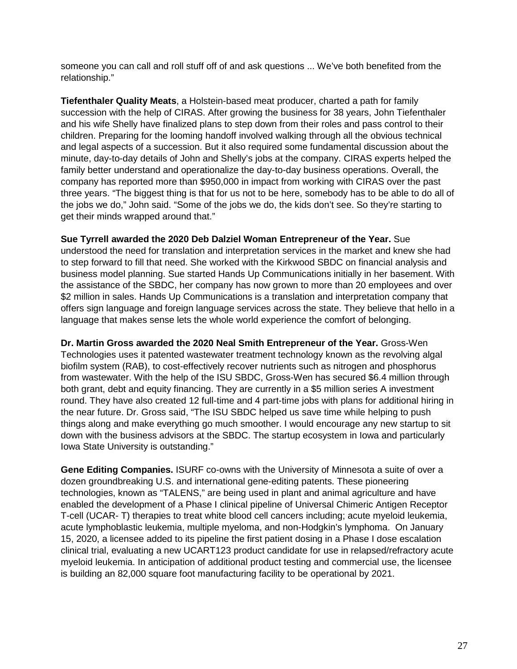someone you can call and roll stuff off of and ask questions ... We've both benefited from the relationship."

**Tiefenthaler Quality Meats**, a Holstein-based meat producer, charted a path for family succession with the help of CIRAS. After growing the business for 38 years, John Tiefenthaler and his wife Shelly have finalized plans to step down from their roles and pass control to their children. Preparing for the looming handoff involved walking through all the obvious technical and legal aspects of a succession. But it also required some fundamental discussion about the minute, day-to-day details of John and Shelly's jobs at the company. CIRAS experts helped the family better understand and operationalize the day-to-day business operations. Overall, the company has reported more than \$950,000 in impact from working with CIRAS over the past three years. "The biggest thing is that for us not to be here, somebody has to be able to do all of the jobs we do," John said. "Some of the jobs we do, the kids don't see. So they're starting to get their minds wrapped around that."

**Sue Tyrrell awarded the 2020 Deb Dalziel Woman Entrepreneur of the Year.** Sue understood the need for translation and interpretation services in the market and knew she had to step forward to fill that need. She worked with the Kirkwood SBDC on financial analysis and business model planning. Sue started Hands Up Communications initially in her basement. With the assistance of the SBDC, her company has now grown to more than 20 employees and over \$2 million in sales. Hands Up Communications is a translation and interpretation company that offers sign language and foreign language services across the state. They believe that hello in a language that makes sense lets the whole world experience the comfort of belonging.

**Dr. Martin Gross awarded the 2020 Neal Smith Entrepreneur of the Year.** Gross-Wen Technologies uses it patented wastewater treatment technology known as the revolving algal biofilm system (RAB), to cost-effectively recover nutrients such as nitrogen and phosphorus from wastewater. With the help of the ISU SBDC, Gross-Wen has secured \$6.4 million through both grant, debt and equity financing. They are currently in a \$5 million series A investment round. They have also created 12 full-time and 4 part-time jobs with plans for additional hiring in the near future. Dr. Gross said, "The ISU SBDC helped us save time while helping to push things along and make everything go much smoother. I would encourage any new startup to sit down with the business advisors at the SBDC. The startup ecosystem in Iowa and particularly Iowa State University is outstanding."

**Gene Editing Companies.** ISURF co-owns with the University of Minnesota a suite of over a dozen groundbreaking U.S. and international gene-editing patents. These pioneering technologies, known as "TALENS," are being used in plant and animal agriculture and have enabled the development of a Phase I clinical pipeline of Universal Chimeric Antigen Receptor T-cell (UCAR- T) therapies to treat white blood cell cancers including; acute myeloid leukemia, acute lymphoblastic leukemia, multiple myeloma, and non-Hodgkin's lymphoma. On January 15, 2020, a licensee added to its pipeline the first patient dosing in a Phase I dose escalation clinical trial, evaluating a new UCART123 product candidate for use in relapsed/refractory acute myeloid leukemia. In anticipation of additional product testing and commercial use, the licensee is building an 82,000 square foot manufacturing facility to be operational by 2021.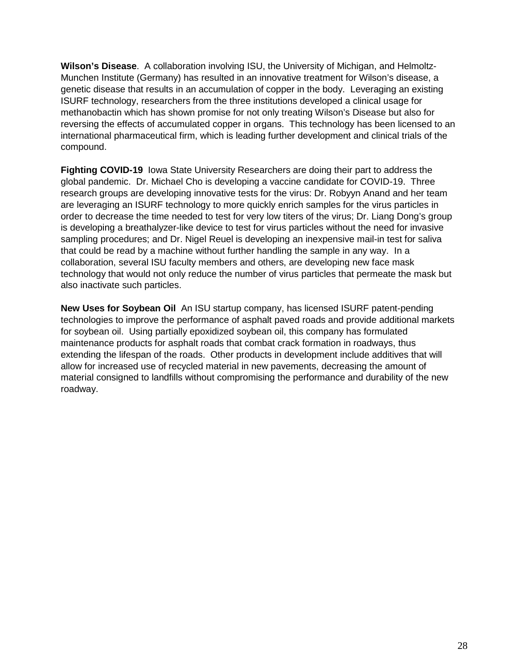**Wilson's Disease**. A collaboration involving ISU, the University of Michigan, and Helmoltz-Munchen Institute (Germany) has resulted in an innovative treatment for Wilson's disease, a genetic disease that results in an accumulation of copper in the body. Leveraging an existing ISURF technology, researchers from the three institutions developed a clinical usage for methanobactin which has shown promise for not only treating Wilson's Disease but also for reversing the effects of accumulated copper in organs. This technology has been licensed to an international pharmaceutical firm, which is leading further development and clinical trials of the compound.

**Fighting COVID-19** Iowa State University Researchers are doing their part to address the global pandemic. Dr. Michael Cho is developing a vaccine candidate for COVID-19. Three research groups are developing innovative tests for the virus: Dr. Robyyn Anand and her team are leveraging an ISURF technology to more quickly enrich samples for the virus particles in order to decrease the time needed to test for very low titers of the virus; Dr. Liang Dong's group is developing a breathalyzer-like device to test for virus particles without the need for invasive sampling procedures; and Dr. Nigel Reuel is developing an inexpensive mail-in test for saliva that could be read by a machine without further handling the sample in any way. In a collaboration, several ISU faculty members and others, are developing new face mask technology that would not only reduce the number of virus particles that permeate the mask but also inactivate such particles.

**New Uses for Soybean Oil** An ISU startup company, has licensed ISURF patent-pending technologies to improve the performance of asphalt paved roads and provide additional markets for soybean oil. Using partially epoxidized soybean oil, this company has formulated maintenance products for asphalt roads that combat crack formation in roadways, thus extending the lifespan of the roads. Other products in development include additives that will allow for increased use of recycled material in new pavements, decreasing the amount of material consigned to landfills without compromising the performance and durability of the new roadway.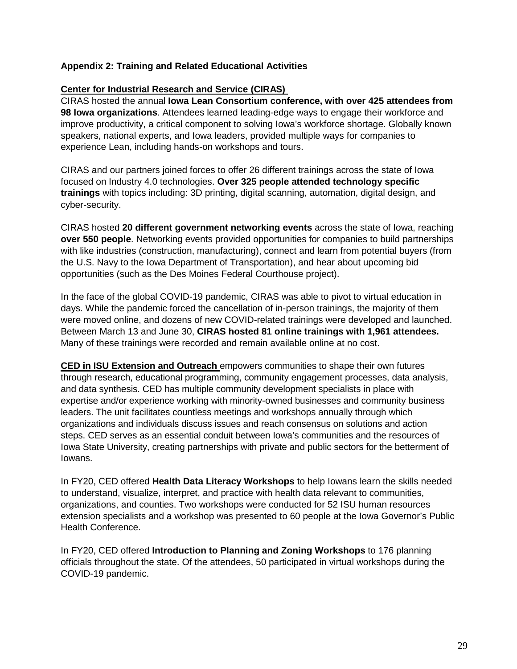#### **Appendix 2: Training and Related Educational Activities**

#### **Center for Industrial Research and Service (CIRAS)**

CIRAS hosted the annual **Iowa Lean Consortium conference, with over 425 attendees from 98 Iowa organizations**. Attendees learned leading-edge ways to engage their workforce and improve productivity, a critical component to solving Iowa's workforce shortage. Globally known speakers, national experts, and Iowa leaders, provided multiple ways for companies to experience Lean, including hands-on workshops and tours.

CIRAS and our partners joined forces to offer 26 different trainings across the state of Iowa focused on Industry 4.0 technologies. **Over 325 people attended technology specific trainings** with topics including: 3D printing, digital scanning, automation, digital design, and cyber-security.

CIRAS hosted **20 different government networking events** across the state of Iowa, reaching **over 550 people**. Networking events provided opportunities for companies to build partnerships with like industries (construction, manufacturing), connect and learn from potential buyers (from the U.S. Navy to the Iowa Department of Transportation), and hear about upcoming bid opportunities (such as the Des Moines Federal Courthouse project).

In the face of the global COVID-19 pandemic, CIRAS was able to pivot to virtual education in days. While the pandemic forced the cancellation of in-person trainings, the majority of them were moved online, and dozens of new COVID-related trainings were developed and launched. Between March 13 and June 30, **CIRAS hosted 81 online trainings with 1,961 attendees.** Many of these trainings were recorded and remain available online at no cost.

**CED in ISU Extension and Outreach** empowers communities to shape their own futures through research, educational programming, community engagement processes, data analysis, and data synthesis. CED has multiple community development specialists in place with expertise and/or experience working with minority-owned businesses and community business leaders. The unit facilitates countless meetings and workshops annually through which organizations and individuals discuss issues and reach consensus on solutions and action steps. CED serves as an essential conduit between Iowa's communities and the resources of Iowa State University, creating partnerships with private and public sectors for the betterment of Iowans.

In FY20, CED offered **Health Data Literacy Workshops** to help Iowans learn the skills needed to understand, visualize, interpret, and practice with health data relevant to communities, organizations, and counties. Two workshops were conducted for 52 ISU human resources extension specialists and a workshop was presented to 60 people at the Iowa Governor's Public Health Conference.

In FY20, CED offered **Introduction to Planning and Zoning Workshops** to 176 planning officials throughout the state. Of the attendees, 50 participated in virtual workshops during the COVID-19 pandemic.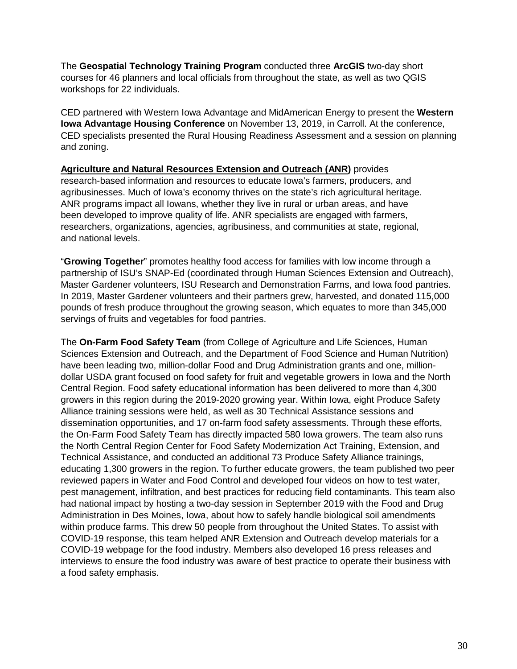The **Geospatial Technology Training Program** conducted three **ArcGIS** two-day short courses for 46 planners and local officials from throughout the state, as well as two QGIS workshops for 22 individuals.

CED partnered with Western Iowa Advantage and MidAmerican Energy to present the **Western Iowa Advantage Housing Conference** on November 13, 2019, in Carroll. At the conference, CED specialists presented the Rural Housing Readiness Assessment and a session on planning and zoning.

**Agriculture and Natural Resources Extension and Outreach (ANR)** provides research-based information and resources to educate Iowa's farmers, producers, and agribusinesses. Much of Iowa's economy thrives on the state's rich agricultural heritage. ANR programs impact all Iowans, whether they live in rural or urban areas, and have been developed to improve quality of life. ANR specialists are engaged with farmers, researchers, organizations, agencies, agribusiness, and communities at state, regional, and national levels.

"**Growing Together**" promotes healthy food access for families with low income through a partnership of ISU's SNAP-Ed (coordinated through Human Sciences Extension and Outreach), Master Gardener volunteers, ISU Research and Demonstration Farms, and Iowa food pantries. In 2019, Master Gardener volunteers and their partners grew, harvested, and donated 115,000 pounds of fresh produce throughout the growing season, which equates to more than 345,000 servings of fruits and vegetables for food pantries.

The **On-Farm Food Safety Team** (from College of Agriculture and Life Sciences, Human Sciences Extension and Outreach, and the Department of Food Science and Human Nutrition) have been leading two, million-dollar Food and Drug Administration grants and one, milliondollar USDA grant focused on food safety for fruit and vegetable growers in Iowa and the North Central Region. Food safety educational information has been delivered to more than 4,300 growers in this region during the 2019-2020 growing year. Within Iowa, eight Produce Safety Alliance training sessions were held, as well as 30 Technical Assistance sessions and dissemination opportunities, and 17 on-farm food safety assessments. Through these efforts, the On-Farm Food Safety Team has directly impacted 580 Iowa growers. The team also runs the North Central Region Center for Food Safety Modernization Act Training, Extension, and Technical Assistance, and conducted an additional 73 Produce Safety Alliance trainings, educating 1,300 growers in the region. To further educate growers, the team published two peer reviewed papers in Water and Food Control and developed four videos on how to test water, pest management, infiltration, and best practices for reducing field contaminants. This team also had national impact by hosting a two-day session in September 2019 with the Food and Drug Administration in Des Moines, Iowa, about how to safely handle biological soil amendments within produce farms. This drew 50 people from throughout the United States. To assist with COVID-19 response, this team helped ANR Extension and Outreach develop materials for a COVID-19 webpage for the food industry. Members also developed 16 press releases and interviews to ensure the food industry was aware of best practice to operate their business with a food safety emphasis.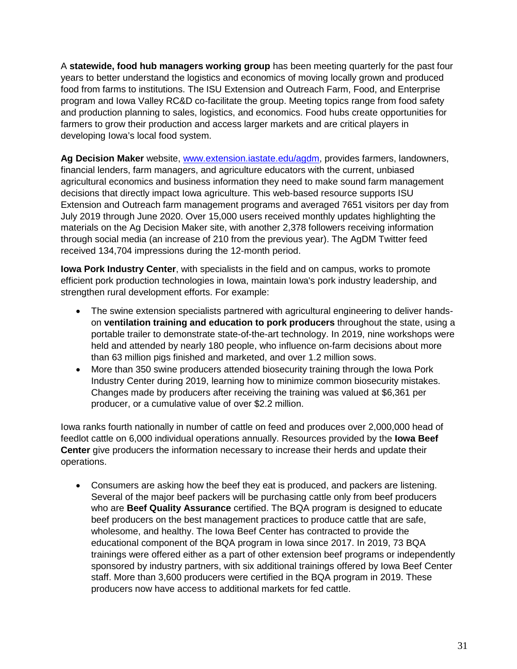A **statewide, food hub managers working group** has been meeting quarterly for the past four years to better understand the logistics and economics of moving locally grown and produced food from farms to institutions. The ISU Extension and Outreach Farm, Food, and Enterprise program and Iowa Valley RC&D co-facilitate the group. Meeting topics range from food safety and production planning to sales, logistics, and economics. Food hubs create opportunities for farmers to grow their production and access larger markets and are critical players in developing Iowa's local food system.

**Ag Decision Maker** website, [www.extension.iastate.edu/agdm,](http://www.extension.iastate.edu/agdm) provides farmers, landowners, financial lenders, farm managers, and agriculture educators with the current, unbiased agricultural economics and business information they need to make sound farm management decisions that directly impact Iowa agriculture. This web-based resource supports ISU Extension and Outreach farm management programs and averaged 7651 visitors per day from July 2019 through June 2020. Over 15,000 users received monthly updates highlighting the materials on the Ag Decision Maker site, with another 2,378 followers receiving information through social media (an increase of 210 from the previous year). The AgDM Twitter feed received 134,704 impressions during the 12-month period.

**Iowa Pork Industry Center**, with specialists in the field and on campus, works to promote efficient pork production technologies in Iowa, maintain Iowa's pork industry leadership, and strengthen rural development efforts. For example:

- The swine extension specialists partnered with agricultural engineering to deliver handson **ventilation training and education to pork producers** throughout the state, using a portable trailer to demonstrate state-of-the-art technology. In 2019, nine workshops were held and attended by nearly 180 people, who influence on-farm decisions about more than 63 million pigs finished and marketed, and over 1.2 million sows.
- More than 350 swine producers attended biosecurity training through the Iowa Pork Industry Center during 2019, learning how to minimize common biosecurity mistakes. Changes made by producers after receiving the training was valued at \$6,361 per producer, or a cumulative value of over \$2.2 million.

Iowa ranks fourth nationally in number of cattle on feed and produces over 2,000,000 head of feedlot cattle on 6,000 individual operations annually. Resources provided by the **Iowa Beef Center** give producers the information necessary to increase their herds and update their operations.

• Consumers are asking how the beef they eat is produced, and packers are listening. Several of the major beef packers will be purchasing cattle only from beef producers who are **Beef Quality Assurance** certified. The BQA program is designed to educate beef producers on the best management practices to produce cattle that are safe, wholesome, and healthy. The Iowa Beef Center has contracted to provide the educational component of the BQA program in Iowa since 2017. In 2019, 73 BQA trainings were offered either as a part of other extension beef programs or independently sponsored by industry partners, with six additional trainings offered by Iowa Beef Center staff. More than 3,600 producers were certified in the BQA program in 2019. These producers now have access to additional markets for fed cattle.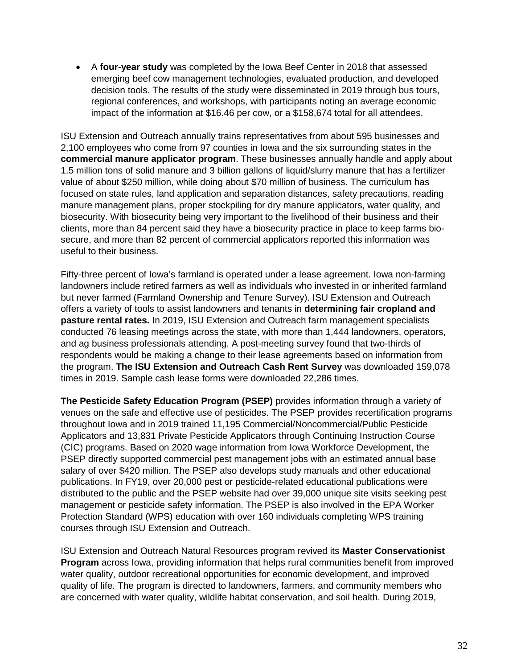• A **four-year study** was completed by the Iowa Beef Center in 2018 that assessed emerging beef cow management technologies, evaluated production, and developed decision tools. The results of the study were disseminated in 2019 through bus tours, regional conferences, and workshops, with participants noting an average economic impact of the information at \$16.46 per cow, or a \$158,674 total for all attendees.

ISU Extension and Outreach annually trains representatives from about 595 businesses and 2,100 employees who come from 97 counties in Iowa and the six surrounding states in the **commercial manure applicator program**. These businesses annually handle and apply about 1.5 million tons of solid manure and 3 billion gallons of liquid/slurry manure that has a fertilizer value of about \$250 million, while doing about \$70 million of business. The curriculum has focused on state rules, land application and separation distances, safety precautions, reading manure management plans, proper stockpiling for dry manure applicators, water quality, and biosecurity. With biosecurity being very important to the livelihood of their business and their clients, more than 84 percent said they have a biosecurity practice in place to keep farms biosecure, and more than 82 percent of commercial applicators reported this information was useful to their business.

Fifty-three percent of Iowa's farmland is operated under a lease agreement. Iowa non-farming landowners include retired farmers as well as individuals who invested in or inherited farmland but never farmed (Farmland Ownership and Tenure Survey). ISU Extension and Outreach offers a variety of tools to assist landowners and tenants in **determining fair cropland and pasture rental rates.** In 2019, ISU Extension and Outreach farm management specialists conducted 76 leasing meetings across the state, with more than 1,444 landowners, operators, and ag business professionals attending. A post-meeting survey found that two-thirds of respondents would be making a change to their lease agreements based on information from the program. **The ISU Extension and Outreach Cash Rent Survey** was downloaded 159,078 times in 2019. Sample cash lease forms were downloaded 22,286 times.

**The Pesticide Safety Education Program (PSEP)** provides information through a variety of venues on the safe and effective use of pesticides. The PSEP provides recertification programs throughout Iowa and in 2019 trained 11,195 Commercial/Noncommercial/Public Pesticide Applicators and 13,831 Private Pesticide Applicators through Continuing Instruction Course (CIC) programs. Based on 2020 wage information from Iowa Workforce Development, the PSEP directly supported commercial pest management jobs with an estimated annual base salary of over \$420 million. The PSEP also develops study manuals and other educational publications. In FY19, over 20,000 pest or pesticide-related educational publications were distributed to the public and the PSEP website had over 39,000 unique site visits seeking pest management or pesticide safety information. The PSEP is also involved in the EPA Worker Protection Standard (WPS) education with over 160 individuals completing WPS training courses through ISU Extension and Outreach.

ISU Extension and Outreach Natural Resources program revived its **Master Conservationist Program** across Iowa, providing information that helps rural communities benefit from improved water quality, outdoor recreational opportunities for economic development, and improved quality of life. The program is directed to landowners, farmers, and community members who are concerned with water quality, wildlife habitat conservation, and soil health. During 2019,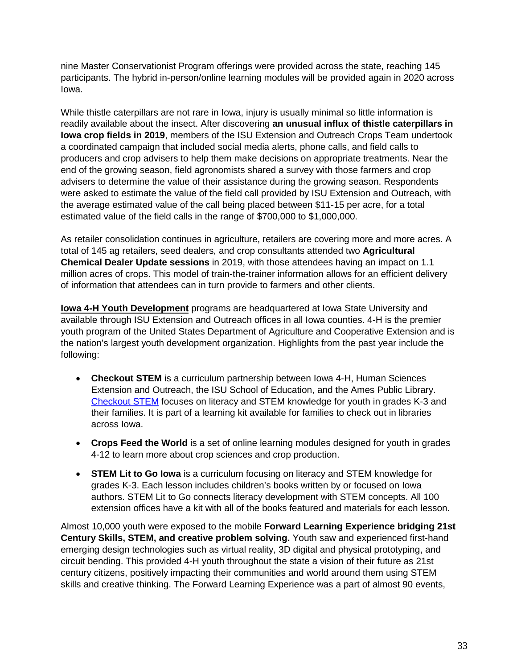nine Master Conservationist Program offerings were provided across the state, reaching 145 participants. The hybrid in-person/online learning modules will be provided again in 2020 across Iowa.

While thistle caterpillars are not rare in Iowa, injury is usually minimal so little information is readily available about the insect. After discovering **an unusual influx of thistle caterpillars in Iowa crop fields in 2019**, members of the ISU Extension and Outreach Crops Team undertook a coordinated campaign that included social media alerts, phone calls, and field calls to producers and crop advisers to help them make decisions on appropriate treatments. Near the end of the growing season, field agronomists shared a survey with those farmers and crop advisers to determine the value of their assistance during the growing season. Respondents were asked to estimate the value of the field call provided by ISU Extension and Outreach, with the average estimated value of the call being placed between \$11-15 per acre, for a total estimated value of the field calls in the range of \$700,000 to \$1,000,000.

As retailer consolidation continues in agriculture, retailers are covering more and more acres. A total of 145 ag retailers, seed dealers, and crop consultants attended two **Agricultural Chemical Dealer Update sessions** in 2019, with those attendees having an impact on 1.1 million acres of crops. This model of train-the-trainer information allows for an efficient delivery of information that attendees can in turn provide to farmers and other clients.

**Iowa 4-H Youth Development** programs are headquartered at Iowa State University and available through ISU Extension and Outreach offices in all Iowa counties. 4-H is the premier youth program of the United States Department of Agriculture and Cooperative Extension and is the nation's largest youth development organization. Highlights from the past year include the following:

- **Checkout STEM** is a curriculum partnership between Iowa 4-H, Human Sciences Extension and Outreach, the ISU School of Education, and the Ames Public Library. [Checkout STEM](http://www.education.iastate.edu/checkout-stem) focuses on literacy and STEM knowledge for youth in grades K-3 and their families. It is part of a learning kit available for families to check out in libraries across Iowa.
- **Crops Feed the World** is a set of online learning modules designed for youth in grades 4-12 to learn more about crop sciences and crop production.
- **STEM Lit to Go Iowa** is a curriculum focusing on literacy and STEM knowledge for grades K-3. Each lesson includes children's books written by or focused on Iowa authors. STEM Lit to Go connects literacy development with STEM concepts. All 100 extension offices have a kit with all of the books featured and materials for each lesson.

Almost 10,000 youth were exposed to the mobile **Forward Learning Experience bridging 21st Century Skills, STEM, and creative problem solving.** Youth saw and experienced first-hand emerging design technologies such as virtual reality, 3D digital and physical prototyping, and circuit bending. This provided 4-H youth throughout the state a vision of their future as 21st century citizens, positively impacting their communities and world around them using STEM skills and creative thinking. The Forward Learning Experience was a part of almost 90 events,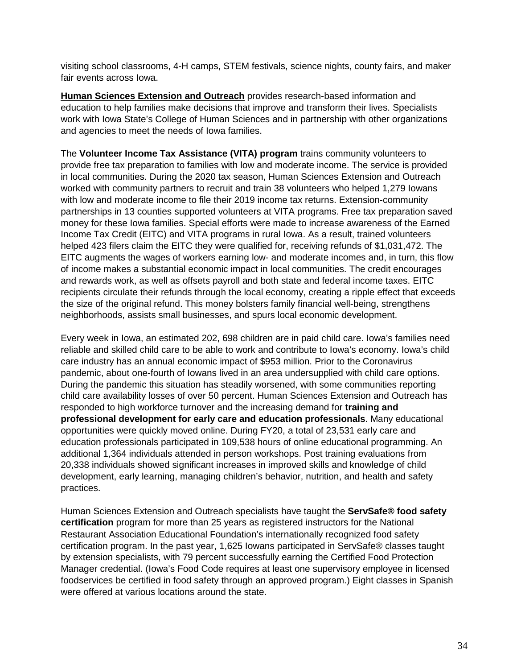visiting school classrooms, 4-H camps, STEM festivals, science nights, county fairs, and maker fair events across Iowa.

**Human Sciences Extension and Outreach** provides research-based information and education to help families make decisions that improve and transform their lives. Specialists work with Iowa State's College of Human Sciences and in partnership with other organizations and agencies to meet the needs of Iowa families.

The **Volunteer Income Tax Assistance (VITA) program** trains community volunteers to provide free tax preparation to families with low and moderate income. The service is provided in local communities. During the 2020 tax season, Human Sciences Extension and Outreach worked with community partners to recruit and train 38 volunteers who helped 1,279 Iowans with low and moderate income to file their 2019 income tax returns. Extension-community partnerships in 13 counties supported volunteers at VITA programs. Free tax preparation saved money for these Iowa families. Special efforts were made to increase awareness of the Earned Income Tax Credit (EITC) and VITA programs in rural Iowa. As a result, trained volunteers helped 423 filers claim the EITC they were qualified for, receiving refunds of \$1,031,472. The EITC augments the wages of workers earning low- and moderate incomes and, in turn, this flow of income makes a substantial economic impact in local communities. The credit encourages and rewards work, as well as offsets payroll and both state and federal income taxes. EITC recipients circulate their refunds through the local economy, creating a ripple effect that exceeds the size of the original refund. This money bolsters family financial well-being, strengthens neighborhoods, assists small businesses, and spurs local economic development.

Every week in Iowa, an estimated 202, 698 children are in paid child care. Iowa's families need reliable and skilled child care to be able to work and contribute to Iowa's economy. Iowa's child care industry has an annual economic impact of \$953 million. Prior to the Coronavirus pandemic, about one-fourth of Iowans lived in an area undersupplied with child care options. During the pandemic this situation has steadily worsened, with some communities reporting child care availability losses of over 50 percent. Human Sciences Extension and Outreach has responded to high workforce turnover and the increasing demand for **training and professional development for early care and education professionals**. Many educational opportunities were quickly moved online. During FY20, a total of 23,531 early care and education professionals participated in 109,538 hours of online educational programming. An additional 1,364 individuals attended in person workshops. Post training evaluations from 20,338 individuals showed significant increases in improved skills and knowledge of child development, early learning, managing children's behavior, nutrition, and health and safety practices.

Human Sciences Extension and Outreach specialists have taught the **ServSafe® food safety certification** program for more than 25 years as registered instructors for the National Restaurant Association Educational Foundation's internationally recognized food safety certification program. In the past year, 1,625 Iowans participated in ServSafe® classes taught by extension specialists, with 79 percent successfully earning the Certified Food Protection Manager credential. (Iowa's Food Code requires at least one supervisory employee in licensed foodservices be certified in food safety through an approved program.) Eight classes in Spanish were offered at various locations around the state.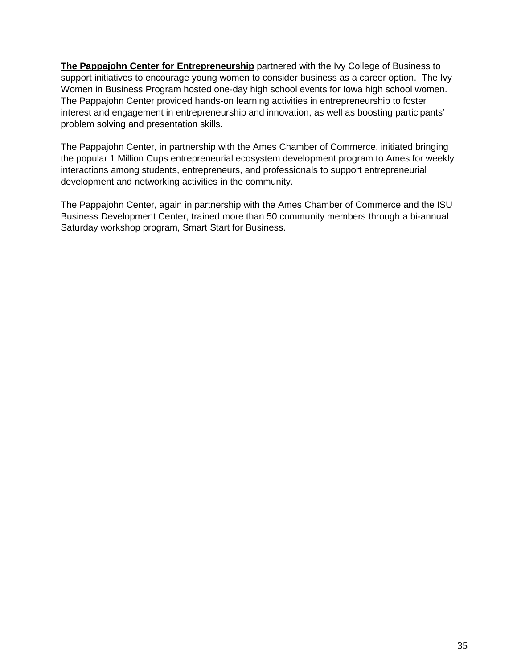**The Pappajohn Center for Entrepreneurship** partnered with the Ivy College of Business to support initiatives to encourage young women to consider business as a career option. The Ivy Women in Business Program hosted one-day high school events for Iowa high school women. The Pappajohn Center provided hands-on learning activities in entrepreneurship to foster interest and engagement in entrepreneurship and innovation, as well as boosting participants' problem solving and presentation skills.

The Pappajohn Center, in partnership with the Ames Chamber of Commerce, initiated bringing the popular 1 Million Cups entrepreneurial ecosystem development program to Ames for weekly interactions among students, entrepreneurs, and professionals to support entrepreneurial development and networking activities in the community.

The Pappajohn Center, again in partnership with the Ames Chamber of Commerce and the ISU Business Development Center, trained more than 50 community members through a bi-annual Saturday workshop program, Smart Start for Business.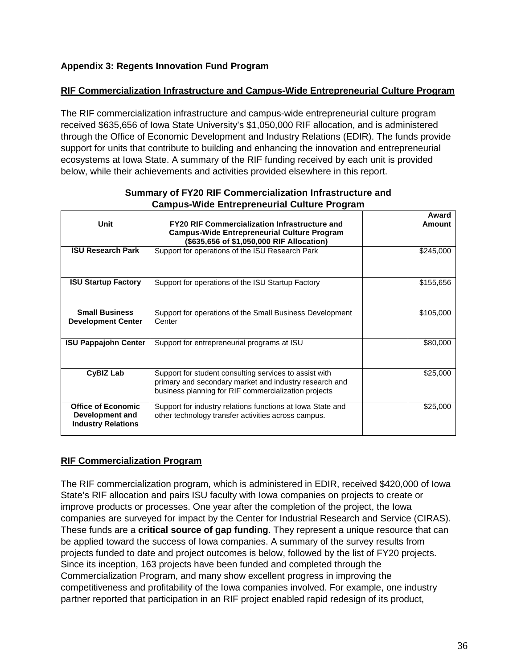#### **Appendix 3: Regents Innovation Fund Program**

#### **RIF Commercialization Infrastructure and Campus-Wide Entrepreneurial Culture Program**

The RIF commercialization infrastructure and campus-wide entrepreneurial culture program received \$635,656 of Iowa State University's \$1,050,000 RIF allocation, and is administered through the Office of Economic Development and Industry Relations (EDIR). The funds provide support for units that contribute to building and enhancing the innovation and entrepreneurial ecosystems at Iowa State. A summary of the RIF funding received by each unit is provided below, while their achievements and activities provided elsewhere in this report.

| <b>Unit</b>                                                               | <b>FY20 RIF Commercialization Infrastructure and</b><br><b>Campus-Wide Entrepreneurial Culture Program</b><br>(\$635,656 of \$1,050,000 RIF Allocation)                  | Award<br>Amount |
|---------------------------------------------------------------------------|--------------------------------------------------------------------------------------------------------------------------------------------------------------------------|-----------------|
| <b>ISU Research Park</b>                                                  | Support for operations of the ISU Research Park                                                                                                                          | \$245,000       |
| <b>ISU Startup Factory</b>                                                | Support for operations of the ISU Startup Factory                                                                                                                        | \$155,656       |
| <b>Small Business</b><br><b>Development Center</b>                        | Support for operations of the Small Business Development<br>Center                                                                                                       | \$105,000       |
| <b>ISU Pappajohn Center</b>                                               | Support for entrepreneurial programs at ISU                                                                                                                              | \$80,000        |
| <b>CyBIZ Lab</b>                                                          | Support for student consulting services to assist with<br>primary and secondary market and industry research and<br>business planning for RIF commercialization projects | \$25,000        |
| <b>Office of Economic</b><br>Development and<br><b>Industry Relations</b> | Support for industry relations functions at Iowa State and<br>other technology transfer activities across campus.                                                        | \$25,000        |

#### **Summary of FY20 RIF Commercialization Infrastructure and Campus-Wide Entrepreneurial Culture Program**

#### **RIF Commercialization Program**

The RIF commercialization program, which is administered in EDIR, received \$420,000 of Iowa State's RIF allocation and pairs ISU faculty with Iowa companies on projects to create or improve products or processes. One year after the completion of the project, the Iowa companies are surveyed for impact by the Center for Industrial Research and Service (CIRAS). These funds are a **critical source of gap funding**. They represent a unique resource that can be applied toward the success of Iowa companies. A summary of the survey results from projects funded to date and project outcomes is below, followed by the list of FY20 projects. Since its inception, 163 projects have been funded and completed through the Commercialization Program, and many show excellent progress in improving the competitiveness and profitability of the Iowa companies involved. For example, one industry partner reported that participation in an RIF project enabled rapid redesign of its product,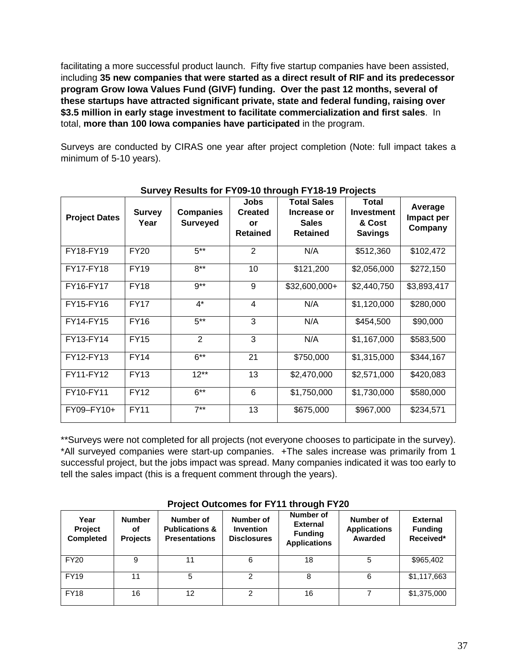facilitating a more successful product launch. Fifty five startup companies have been assisted, including **35 new companies that were started as a direct result of RIF and its predecessor program Grow Iowa Values Fund (GIVF) funding. Over the past 12 months, several of these startups have attracted significant private, state and federal funding, raising over \$3.5 million in early stage investment to facilitate commercialization and first sales**. In total, **more than 100 Iowa companies have participated** in the program.

Surveys are conducted by CIRAS one year after project completion (Note: full impact takes a minimum of 5-10 years).

| <b>Project Dates</b> | <b>Survey</b><br>Year | <b>Companies</b><br><b>Surveyed</b> | <b>Jobs</b><br><b>Created</b><br>or<br><b>Retained</b> | <b>Total Sales</b><br>Increase or<br><b>Sales</b><br><b>Retained</b> | <b>Total</b><br><b>Investment</b><br>& Cost<br><b>Savings</b> | Average<br>Impact per<br>Company |
|----------------------|-----------------------|-------------------------------------|--------------------------------------------------------|----------------------------------------------------------------------|---------------------------------------------------------------|----------------------------------|
| FY18-FY19            | <b>FY20</b>           | $5***$                              | 2                                                      | N/A                                                                  | \$512,360                                                     | \$102,472                        |
| FY17-FY18            | <b>FY19</b>           | $8***$                              | 10                                                     | \$121,200                                                            | \$2,056,000                                                   | \$272,150                        |
| FY16-FY17            | <b>FY18</b>           | $9**$                               | 9                                                      | \$32,600,000+                                                        | \$2,440,750                                                   | \$3,893,417                      |
| FY15-FY16            | <b>FY17</b>           | $4^*$                               | 4                                                      | N/A                                                                  | \$1,120,000                                                   | \$280,000                        |
| FY14-FY15            | <b>FY16</b>           | $5***$                              | 3                                                      | N/A                                                                  | \$454,500                                                     | \$90,000                         |
| FY13-FY14            | <b>FY15</b>           | $\overline{2}$                      | 3                                                      | N/A                                                                  | \$1,167,000                                                   | \$583,500                        |
| FY12-FY13            | <b>FY14</b>           | $6***$                              | 21                                                     | \$750,000                                                            | \$1,315,000                                                   | \$344,167                        |
| FY11-FY12            | <b>FY13</b>           | $12***$                             | 13                                                     | \$2,470,000                                                          | \$2,571,000                                                   | \$420,083                        |
| FY10-FY11            | <b>FY12</b>           | $6***$                              | 6                                                      | \$1,750,000                                                          | \$1,730,000                                                   | \$580,000                        |
| FY09-FY10+           | <b>FY11</b>           | $7***$                              | 13                                                     | \$675,000                                                            | \$967,000                                                     | \$234,571                        |

#### **Survey Results for FY09-10 through FY18-19 Projects**

\*\*Surveys were not completed for all projects (not everyone chooses to participate in the survey). \*All surveyed companies were start-up companies. +The sales increase was primarily from 1 successful project, but the jobs impact was spread. Many companies indicated it was too early to tell the sales impact (this is a frequent comment through the years).

| Year<br><b>Project</b><br><b>Completed</b> | <b>Number</b><br>οf<br><b>Projects</b> | Number of<br><b>Publications &amp;</b><br><b>Presentations</b> | Number of<br><b>Invention</b><br><b>Disclosures</b> | Number of<br><b>External</b><br><b>Funding</b><br><b>Applications</b> | Number of<br><b>Applications</b><br>Awarded | <b>External</b><br><b>Funding</b><br>Received* |
|--------------------------------------------|----------------------------------------|----------------------------------------------------------------|-----------------------------------------------------|-----------------------------------------------------------------------|---------------------------------------------|------------------------------------------------|
| <b>FY20</b>                                | 9                                      | 11                                                             | 6                                                   | 18                                                                    | 5                                           | \$965,402                                      |
| <b>FY19</b>                                | 11                                     | 5                                                              | 2                                                   |                                                                       | 6                                           | \$1,117,663                                    |
| <b>FY18</b>                                | 16                                     | 12                                                             | 2                                                   | 16                                                                    |                                             | \$1,375,000                                    |

#### **Project Outcomes for FY11 through FY20**